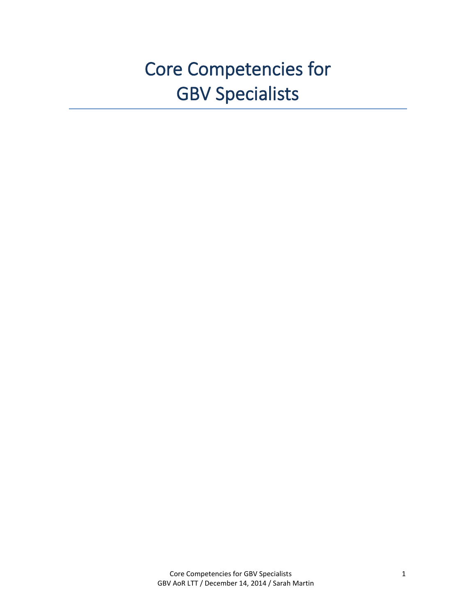# Core Competencies for GBV Specialists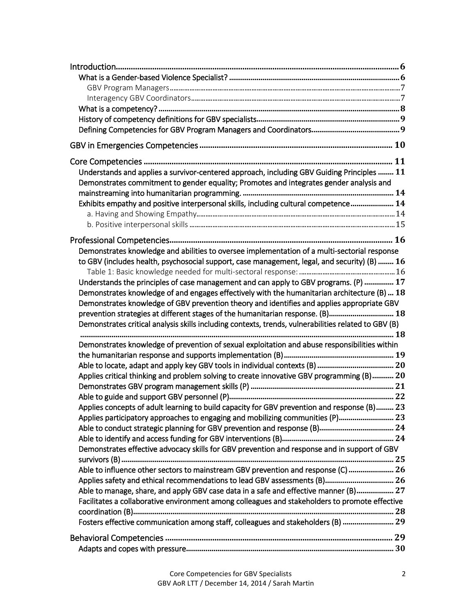| Understands and applies a survivor-centered approach, including GBV Guiding Principles  11           |  |
|------------------------------------------------------------------------------------------------------|--|
| Demonstrates commitment to gender equality; Promotes and integrates gender analysis and              |  |
|                                                                                                      |  |
| Exhibits empathy and positive interpersonal skills, including cultural competence 14                 |  |
|                                                                                                      |  |
|                                                                                                      |  |
|                                                                                                      |  |
| Demonstrates knowledge and abilities to oversee implementation of a multi-sectorial response         |  |
| to GBV (includes health, psychosocial support, case management, legal, and security) (B)  16         |  |
|                                                                                                      |  |
| Understands the principles of case management and can apply to GBV programs. (P)  17                 |  |
| Demonstrates knowledge of and engages effectively with the humanitarian architecture (B)  18         |  |
| Demonstrates knowledge of GBV prevention theory and identifies and applies appropriate GBV           |  |
| prevention strategies at different stages of the humanitarian response. (B) 18                       |  |
| Demonstrates critical analysis skills including contexts, trends, vulnerabilities related to GBV (B) |  |
|                                                                                                      |  |
| Demonstrates knowledge of prevention of sexual exploitation and abuse responsibilities within        |  |
|                                                                                                      |  |
|                                                                                                      |  |
| Applies critical thinking and problem solving to create innovative GBV programming (B) 20            |  |
|                                                                                                      |  |
|                                                                                                      |  |
| Applies concepts of adult learning to build capacity for GBV prevention and response (B) 23          |  |
| Applies participatory approaches to engaging and mobilizing communities (P) 23                       |  |
|                                                                                                      |  |
|                                                                                                      |  |
| Demonstrates effective advocacy skills for GBV prevention and response and in support of GBV         |  |
|                                                                                                      |  |
| Able to influence other sectors to mainstream GBV prevention and response (C)  26                    |  |
| Applies safety and ethical recommendations to lead GBV assessments (B) 26                            |  |
| Able to manage, share, and apply GBV case data in a safe and effective manner (B) 27                 |  |
| Facilitates a collaborative environment among colleagues and stakeholders to promote effective       |  |
|                                                                                                      |  |
| Fosters effective communication among staff, colleagues and stakeholders (B)  29                     |  |
|                                                                                                      |  |
|                                                                                                      |  |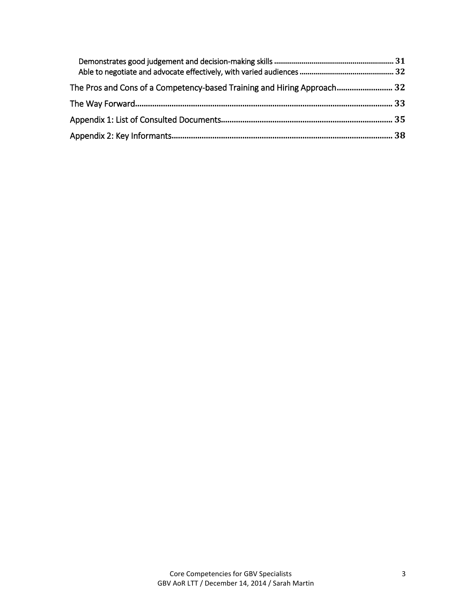| The Pros and Cons of a Competency-based Training and Hiring Approach 32 |  |
|-------------------------------------------------------------------------|--|
|                                                                         |  |
|                                                                         |  |
|                                                                         |  |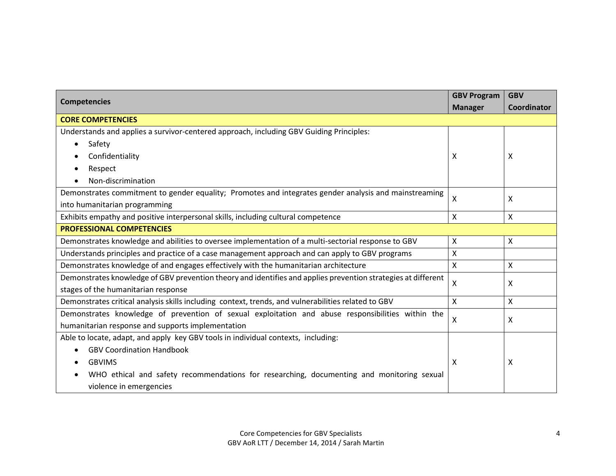|                                                                                                               | <b>GBV Program</b> | <b>GBV</b>   |
|---------------------------------------------------------------------------------------------------------------|--------------------|--------------|
| <b>Competencies</b>                                                                                           | <b>Manager</b>     | Coordinator  |
| <b>CORE COMPETENCIES</b>                                                                                      |                    |              |
| Understands and applies a survivor-centered approach, including GBV Guiding Principles:                       |                    |              |
| Safety<br>$\bullet$                                                                                           |                    |              |
| Confidentiality                                                                                               | x                  | X            |
| Respect                                                                                                       |                    |              |
| Non-discrimination                                                                                            |                    |              |
| Demonstrates commitment to gender equality; Promotes and integrates gender analysis and mainstreaming         | X                  | X            |
| into humanitarian programming                                                                                 |                    |              |
| Exhibits empathy and positive interpersonal skills, including cultural competence                             | Χ                  | $\mathsf{X}$ |
| <b>PROFESSIONAL COMPETENCIES</b>                                                                              |                    |              |
| Demonstrates knowledge and abilities to oversee implementation of a multi-sectorial response to GBV           | X                  | $\mathsf{X}$ |
| Understands principles and practice of a case management approach and can apply to GBV programs               | Χ                  |              |
| Demonstrates knowledge of and engages effectively with the humanitarian architecture                          | X                  | $\mathsf{X}$ |
| Demonstrates knowledge of GBV prevention theory and identifies and applies prevention strategies at different |                    |              |
| stages of the humanitarian response                                                                           | x                  | X            |
| Demonstrates critical analysis skills including context, trends, and vulnerabilities related to GBV           | X.                 | $\mathsf{X}$ |
| Demonstrates knowledge of prevention of sexual exploitation and abuse responsibilities within the             | X                  | X            |
| humanitarian response and supports implementation                                                             |                    |              |
| Able to locate, adapt, and apply key GBV tools in individual contexts, including:                             |                    |              |
| <b>GBV Coordination Handbook</b>                                                                              |                    |              |
| <b>GBVIMS</b>                                                                                                 | X                  | X            |
| WHO ethical and safety recommendations for researching, documenting and monitoring sexual                     |                    |              |
| violence in emergencies                                                                                       |                    |              |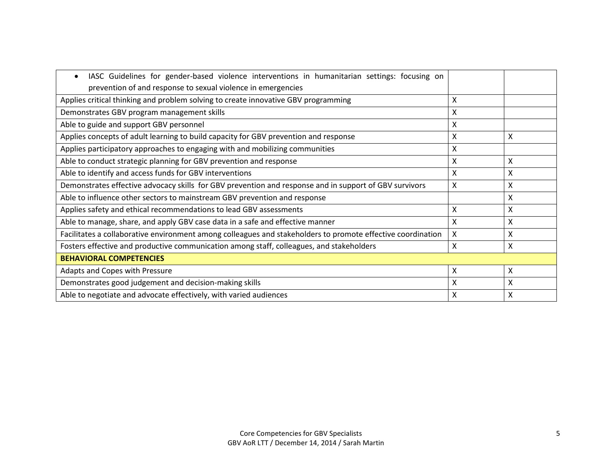| IASC Guidelines for gender-based violence interventions in humanitarian settings: focusing on<br>$\bullet$  |   |   |
|-------------------------------------------------------------------------------------------------------------|---|---|
| prevention of and response to sexual violence in emergencies                                                |   |   |
| Applies critical thinking and problem solving to create innovative GBV programming                          | Χ |   |
| Demonstrates GBV program management skills                                                                  | X |   |
| Able to guide and support GBV personnel                                                                     | Χ |   |
| Applies concepts of adult learning to build capacity for GBV prevention and response                        | х | X |
| Applies participatory approaches to engaging with and mobilizing communities                                | х |   |
| Able to conduct strategic planning for GBV prevention and response                                          | x | X |
| Able to identify and access funds for GBV interventions                                                     | x | X |
| Demonstrates effective advocacy skills for GBV prevention and response and in support of GBV survivors      | x | X |
| Able to influence other sectors to mainstream GBV prevention and response                                   |   | X |
| Applies safety and ethical recommendations to lead GBV assessments                                          | X | X |
| Able to manage, share, and apply GBV case data in a safe and effective manner                               | X | X |
| Facilitates a collaborative environment among colleagues and stakeholders to promote effective coordination | X | X |
| Fosters effective and productive communication among staff, colleagues, and stakeholders                    | Χ | X |
| <b>BEHAVIORAL COMPETENCIES</b>                                                                              |   |   |
| Adapts and Copes with Pressure                                                                              | X | X |
| Demonstrates good judgement and decision-making skills                                                      | X | X |
| Able to negotiate and advocate effectively, with varied audiences                                           | X | X |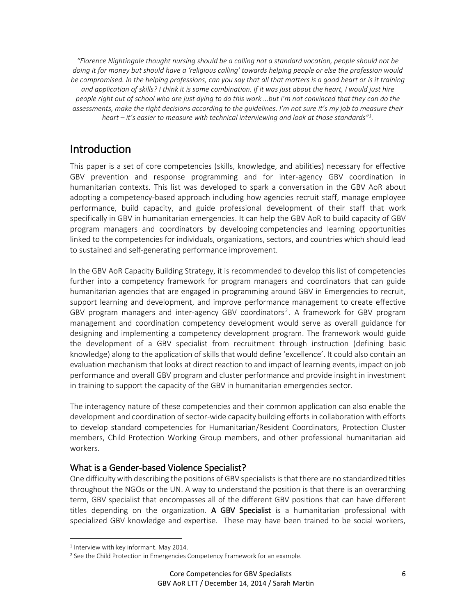*"Florence Nightingale thought nursing should be a calling not a standard vocation, people should not be doing it for money but should have a 'religious calling' towards helping people or else the profession would be compromised. In the helping professions, can you say that all that matters is a good heart or is it training and application of skills? I think it is some combination. If it was just about the heart, I would just hire people right out of school who are just dying to do this work …but I'm not convinced that they can do the assessments, make the right decisions according to the guidelines. I'm not sure it's my job to measure their heart – it's easier to measure with technical interviewing and look at those standards"<sup>1</sup> .*

# **Introduction**

This paper is a set of core competencies (skills, knowledge, and abilities) necessary for effective GBV prevention and response programming and for inter-agency GBV coordination in humanitarian contexts. This list was developed to spark a conversation in the GBV AoR about adopting a competency-based approach including how agencies recruit staff, manage employee performance, build capacity, and guide professional development of their staff that work specifically in GBV in humanitarian emergencies. It can help the GBV AoR to build capacity of GBV program managers and coordinators by developing competencies and learning opportunities linked to the competencies for individuals, organizations, sectors, and countries which should lead to sustained and self-generating performance improvement.

In the GBV AoR Capacity Building Strategy, it is recommended to develop this list of competencies further into a competency framework for program managers and coordinators that can guide humanitarian agencies that are engaged in programming around GBV in Emergencies to recruit, support learning and development, and improve performance management to create effective GBV program managers and inter-agency GBV coordinators<sup>2</sup>. A framework for GBV program management and coordination competency development would serve as overall guidance for designing and implementing a competency development program. The framework would guide the development of a GBV specialist from recruitment through instruction (defining basic knowledge) along to the application of skills that would define 'excellence'. It could also contain an evaluation mechanism that looks at direct reaction to and impact of learning events, impact on job performance and overall GBV program and cluster performance and provide insight in investment in training to support the capacity of the GBV in humanitarian emergencies sector.

The interagency nature of these competencies and their common application can also enable the development and coordination of sector-wide capacity building efforts in collaboration with efforts to develop standard competencies for Humanitarian/Resident Coordinators, Protection Cluster members, Child Protection Working Group members, and other professional humanitarian aid workers.

#### What is a Gender-based Violence Specialist?

One difficulty with describing the positions of GBV specialists is that there are no standardized titles throughout the NGOs or the UN. A way to understand the position is that there is an overarching term, GBV specialist that encompasses all of the different GBV positions that can have different titles depending on the organization. A GBV Specialist is a humanitarian professional with specialized GBV knowledge and expertise. These may have been trained to be social workers,

<sup>1</sup> Interview with key informant. May 2014.

<sup>&</sup>lt;sup>2</sup> See the Child Protection in Emergencies Competency Framework for an example.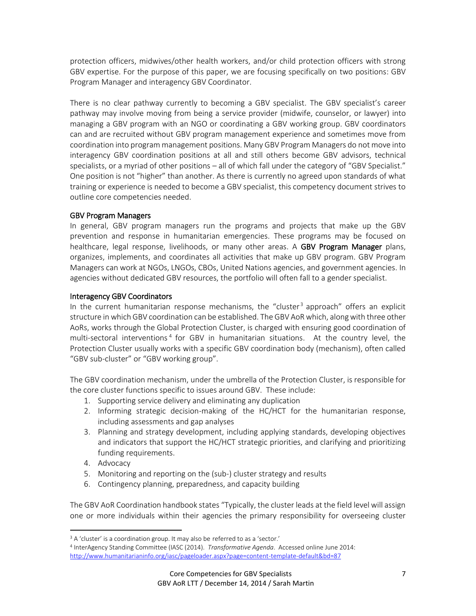protection officers, midwives/other health workers, and/or child protection officers with strong GBV expertise. For the purpose of this paper, we are focusing specifically on two positions: GBV Program Manager and interagency GBV Coordinator.

There is no clear pathway currently to becoming a GBV specialist. The GBV specialist's career pathway may involve moving from being a service provider (midwife, counselor, or lawyer) into managing a GBV program with an NGO or coordinating a GBV working group. GBV coordinators can and are recruited without GBV program management experience and sometimes move from coordination into program management positions. Many GBV Program Managers do not move into interagency GBV coordination positions at all and still others become GBV advisors, technical specialists, or a myriad of other positions – all of which fall under the category of "GBV Specialist." One position is not "higher" than another. As there is currently no agreed upon standards of what training or experience is needed to become a GBV specialist, this competency document strives to outline core competencies needed.

#### GBV Program Managers

In general, GBV program managers run the programs and projects that make up the GBV prevention and response in humanitarian emergencies. These programs may be focused on healthcare, legal response, livelihoods, or many other areas. A GBV Program Manager plans, organizes, implements, and coordinates all activities that make up GBV program. GBV Program Managers can work at NGOs, LNGOs, CBOs, United Nations agencies, and government agencies. In agencies without dedicated GBV resources, the portfolio will often fall to a gender specialist.

#### Interagency GBV Coordinators

In the current humanitarian response mechanisms, the "cluster<sup>3</sup> approach" offers an explicit structure in which GBV coordination can be established. The GBV AoRwhich, along with three other AoRs, works through the Global Protection Cluster, is charged with ensuring good coordination of multi-sectoral interventions<sup>4</sup> for GBV in humanitarian situations. At the country level, the Protection Cluster usually works with a specific GBV coordination body (mechanism), often called "GBV sub-cluster" or "GBV working group".

The GBV coordination mechanism, under the umbrella of the Protection Cluster, is responsible for the core cluster functions specific to issues around GBV. These include:

- 1. Supporting service delivery and eliminating any duplication
- 2. Informing strategic decision-making of the HC/HCT for the humanitarian response, including assessments and gap analyses
- 3. Planning and strategy development, including applying standards, developing objectives and indicators that support the HC/HCT strategic priorities, and clarifying and prioritizing funding requirements.
- 4. Advocacy

l

- 5. Monitoring and reporting on the (sub-) cluster strategy and results
- 6. Contingency planning, preparedness, and capacity building

The GBV AoR Coordination handbook states "Typically, the cluster leads at the field level will assign one or more individuals within their agencies the primary responsibility for overseeing cluster

<sup>&</sup>lt;sup>3</sup> A 'cluster' is a coordination group. It may also be referred to as a 'sector.'

<sup>4</sup> InterAgency Standing Committee (IASC (2014). *Transformative Agenda*. Accessed online June 2014: <http://www.humanitarianinfo.org/iasc/pageloader.aspx?page=content-template-default&bd=87>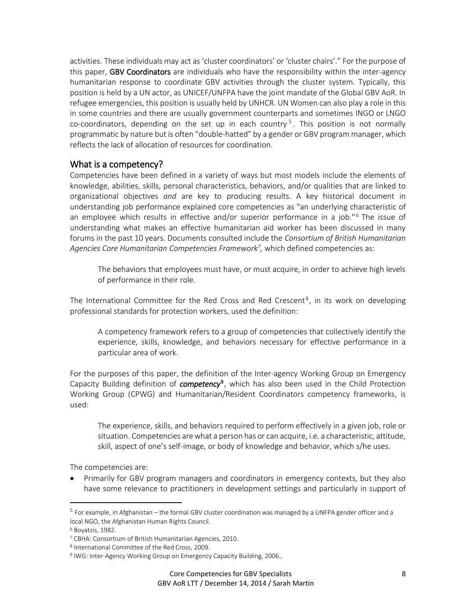activities. These individuals may act as 'cluster coordinators' or 'cluster chairs'." For the purpose of this paper, GBV Coordinators are individuals who have the responsibility within the inter-agency humanitarian response to coordinate GBV activities through the cluster system. Typically, this position is held by a UN actor, as UNICEF/UNFPA have the joint mandate of the Global GBV AoR. In refugee emergencies, this position is usually held by UNHCR. UN Women can also play a role in this in some countries and there are usually government counterparts and sometimes INGO or LNGO co-coordinators, depending on the set up in each country<sup>5</sup>. This position is not normally programmatic by nature but is often "double-hatted" by a gender or GBV program manager, which reflects the lack of allocation of resources for coordination.

#### What is a competency?

Competencies have been defined in a variety of ways but most models include the elements of knowledge, abilities, skills, personal characteristics, behaviors, and/or qualities that are linked to organizational objectives *and* are key to producing results. A key historical document in understanding job performance explained core competencies as "an underlying characteristic of an employee which results in effective and/or superior performance in a job." $6$  The issue of understanding what makes an effective humanitarian aid worker has been discussed in many forums in the past 10 years. Documents consulted include the *Consortium of British Humanitarian Agencies Core Humanitarian Competencies Framework<sup>7</sup> ,* which defined competencies as:

The behaviors that employees must have, or must acquire, in order to achieve high levels of performance in their role.

The International Committee for the Red Cross and Red Crescent<sup>8</sup>, in its work on developing professional standards for protection workers, used the definition:

A competency framework refers to a group of competencies that collectively identify the experience, skills, knowledge, and behaviors necessary for effective performance in a particular area of work.

For the purposes of this paper, the definition of the Inter-agency Working Group on Emergency Capacity Building definition of *competency*<sup>9</sup> , which has also been used in the Child Protection Working Group (CPWG) and Humanitarian/Resident Coordinators competency frameworks,is used:

The experience, skills, and behaviors required to perform effectively in a given job, role or situation. Competencies are what a person has or can acquire, i.e. a characteristic, attitude, skill, aspect of one's self-image, or body of knowledge and behavior, which s/he uses.

The competencies are:

 Primarily for GBV program managers and coordinators in emergency contexts, but they also have some relevance to practitioners in development settings and particularly in support of

 $^{\rm 5}$  For example, in Afghanistan – the formal GBV cluster coordination was managed by a UNFPA gender officer and a local NGO, the Afghanistan Human Rights Council.

<sup>6</sup> Boyatzis, 1982.

<sup>7</sup> CBHA: Consortium of British Humanitarian Agencies, 2010.

<sup>8</sup> International Committee of the Red Cross, 2009.

<sup>&</sup>lt;sup>9</sup> IWG: Inter-Agency Working Group on Emergency Capacity Building, 2006.,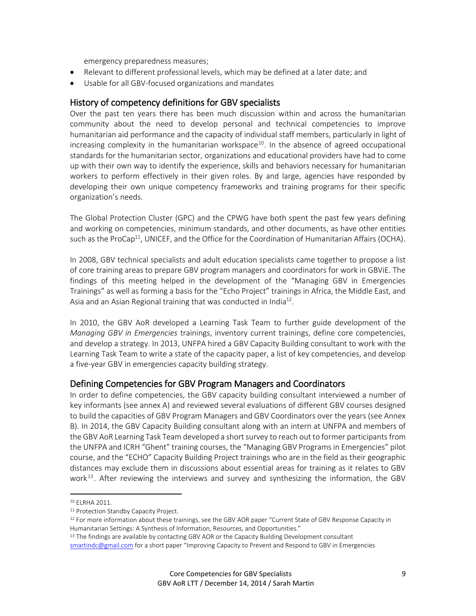emergency preparedness measures;

- Relevant to different professional levels, which may be defined at a later date; and
- Usable for all GBV-focused organizations and mandates

#### History of competency definitions for GBV specialists

Over the past ten years there has been much discussion within and across the humanitarian community about the need to develop personal and technical competencies to improve humanitarian aid performance and the capacity of individual staff members, particularly in light of increasing complexity in the humanitarian workspace<sup>10</sup>. In the absence of agreed occupational standards for the humanitarian sector, organizations and educational providers have had to come up with their own way to identify the experience, skills and behaviors necessary for humanitarian workers to perform effectively in their given roles. By and large, agencies have responded by developing their own unique competency frameworks and training programs for their specific organization's needs.

The Global Protection Cluster (GPC) and the CPWG have both spent the past few years defining and working on competencies, minimum standards, and other documents, as have other entities such as the ProCap<sup>11</sup>, UNICEF, and the Office for the Coordination of Humanitarian Affairs (OCHA).

In 2008, GBV technical specialists and adult education specialists came together to propose a list of core training areas to prepare GBV program managers and coordinators for work in GBViE. The findings of this meeting helped in the development of the "Managing GBV in Emergencies Trainings" as well as forming a basis for the "Echo Project" trainings in Africa, the Middle East, and Asia and an Asian Regional training that was conducted in India<sup>12</sup>.

In 2010, the GBV AoR developed a Learning Task Team to further guide development of the *Managing GBV in Emergencies* trainings, inventory current trainings, define core competencies, and develop a strategy. In 2013, UNFPA hired a GBV Capacity Building consultant to work with the Learning Task Team to write a state of the capacity paper, a list of key competencies, and develop a five-year GBV in emergencies capacity building strategy.

#### Defining Competencies for GBV Program Managers and Coordinators

In order to define competencies, the GBV capacity building consultant interviewed a number of key informants (see annex A) and reviewed several evaluations of different GBV courses designed to build the capacities of GBV Program Managers and GBV Coordinators over the years (see Annex B). In 2014, the GBV Capacity Building consultant along with an intern at UNFPA and members of the GBV AoR Learning Task Team developed a short survey to reach out to former participants from the UNFPA and ICRH "Ghent" training courses, the "Managing GBV Programs in Emergencies" pilot course, and the "ECHO" Capacity Building Project trainings who are in the field as their geographic distances may exclude them in discussions about essential areas for training as it relates to GBV work<sup>13</sup>. After reviewing the interviews and survey and synthesizing the information, the GBV

<sup>10</sup> ELRHA 2011.

<sup>&</sup>lt;sup>11</sup> Protection Standby Capacity Project.

 $12$  For more information about these trainings, see the GBV AOR paper "Current State of GBV Response Capacity in Humanitarian Settings: A Synthesis of Information, Resources, and Opportunities."

<sup>&</sup>lt;sup>13</sup> The findings are available by contacting GBV AOR or the Capacity Building Development consultant

[smartindc@gmail.com](mailto:smartindc@gmail.com) for a short paper "Improving Capacity to Prevent and Respond to GBV in Emergencies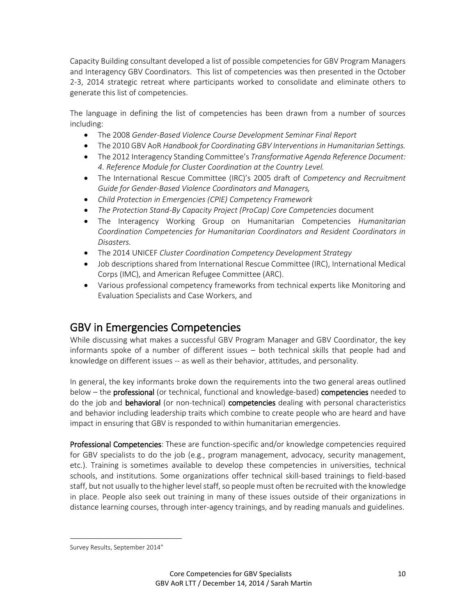Capacity Building consultant developed a list of possible competencies for GBV Program Managers and Interagency GBV Coordinators. This list of competencies was then presented in the October 2-3, 2014 strategic retreat where participants worked to consolidate and eliminate others to generate this list of competencies.

The language in defining the list of competencies has been drawn from a number of sources including:

- The 2008 *Gender-Based Violence Course Development Seminar Final Report*
- The 2010 GBV AoR *Handbook for Coordinating GBV Interventions in Humanitarian Settings.*
- The 2012 Interagency Standing Committee's *Transformative Agenda Reference Document: 4. Reference Module for Cluster Coordination at the Country Level.*
- The International Rescue Committee (IRC)'s 2005 draft of *Competency and Recruitment Guide for Gender-Based Violence Coordinators and Managers,*
- *Child Protection in Emergencies (CPIE) Competency Framework*
- *The Protection Stand-By Capacity Project (ProCap) Core Competencies* document
- The Interagency Working Group on Humanitarian Competencies *Humanitarian Coordination Competencies for Humanitarian Coordinators and Resident Coordinators in Disasters.*
- The 2014 UNICEF *Cluster Coordination Competency Development Strategy*
- Job descriptions shared from International Rescue Committee (IRC), International Medical Corps (IMC), and American Refugee Committee (ARC).
- Various professional competency frameworks from technical experts like Monitoring and Evaluation Specialists and Case Workers, and

# GBV in Emergencies Competencies

While discussing what makes a successful GBV Program Manager and GBV Coordinator, the key informants spoke of a number of different issues – both technical skills that people had and knowledge on different issues -- as well as their behavior, attitudes, and personality.

In general, the key informants broke down the requirements into the two general areas outlined below – the **professional** (or technical, functional and knowledge-based) **competencies** needed to do the job and behavioral (or non-technical) competencies dealing with personal characteristics and behavior including leadership traits which combine to create people who are heard and have impact in ensuring that GBV is responded to within humanitarian emergencies.

Professional Competencies: These are function-specific and/or knowledge competencies required for GBV specialists to do the job (e.g., program management, advocacy, security management, etc.). Training is sometimes available to develop these competencies in universities, technical schools, and institutions. Some organizations offer technical skill-based trainings to field-based staff, but not usually to the higher level staff, so people must often be recruited with the knowledge in place. People also seek out training in many of these issues outside of their organizations in distance learning courses, through inter-agency trainings, and by reading manuals and guidelines.

Survey Results, September 2014"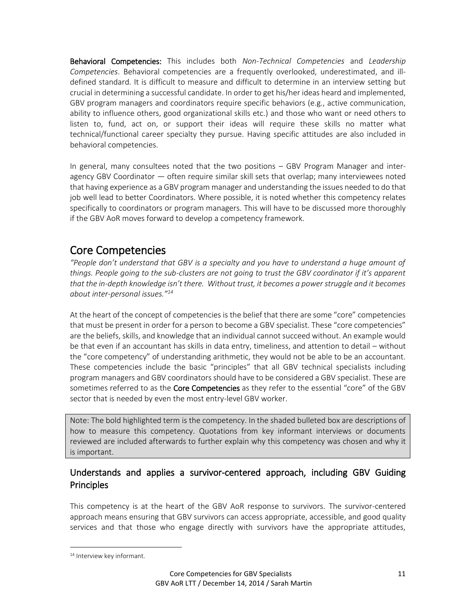Behavioral Competencies: This includes both *Non-Technical Competencies* and *Leadership Competencies*. Behavioral competencies are a frequently overlooked, underestimated, and illdefined standard. It is difficult to measure and difficult to determine in an interview setting but crucial in determining a successful candidate. In order to get his/her ideas heard and implemented, GBV program managers and coordinators require specific behaviors (e.g., active communication, ability to influence others, good organizational skills etc.) and those who want or need others to listen to, fund, act on, or support their ideas will require these skills no matter what technical/functional career specialty they pursue. Having specific attitudes are also included in behavioral competencies.

In general, many consultees noted that the two positions – GBV Program Manager and interagency GBV Coordinator — often require similar skill sets that overlap; many interviewees noted that having experience as a GBV program manager and understanding the issues needed to do that job well lead to better Coordinators. Where possible, it is noted whether this competency relates specifically to coordinators or program managers. This will have to be discussed more thoroughly if the GBV AoR moves forward to develop a competency framework.

# Core Competencies

*"People don't understand that GBV is a specialty and you have to understand a huge amount of things. People going to the sub-clusters are not going to trust the GBV coordinator if it's apparent that the in-depth knowledge isn't there. Without trust, it becomes a power struggle and it becomes about inter-personal issues."<sup>14</sup>*

At the heart of the concept of competencies is the belief that there are some "core" competencies that must be present in order for a person to become a GBV specialist. These "core competencies" are the beliefs, skills, and knowledge that an individual cannot succeed without. An example would be that even if an accountant has skills in data entry, timeliness, and attention to detail – without the "core competency" of understanding arithmetic, they would not be able to be an accountant. These competencies include the basic "principles" that all GBV technical specialists including program managers and GBV coordinators should have to be considered a GBV specialist. These are sometimes referred to as the **Core Competencies** as they refer to the essential "core" of the GBV sector that is needed by even the most entry-level GBV worker.

Note: The bold highlighted term is the competency. In the shaded bulleted box are descriptions of how to measure this competency. Quotations from key informant interviews or documents reviewed are included afterwards to further explain why this competency was chosen and why it is important.

## Understands and applies a survivor-centered approach, including GBV Guiding **Principles**

This competency is at the heart of the GBV AoR response to survivors. The survivor-centered approach means ensuring that GBV survivors can access appropriate, accessible, and good quality services and that those who engage directly with survivors have the appropriate attitudes,

 $\overline{a}$ 

<sup>14</sup> Interview key informant.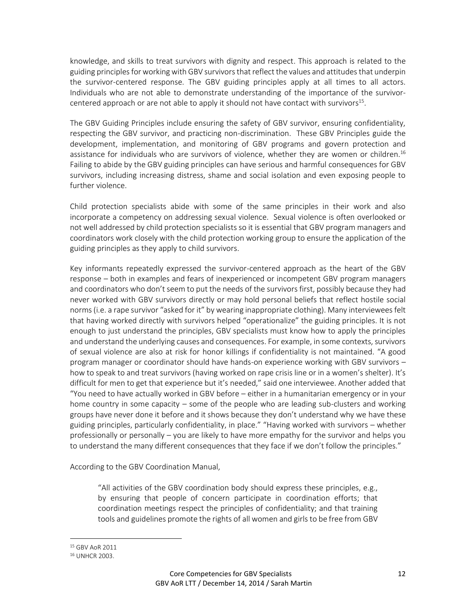knowledge, and skills to treat survivors with dignity and respect. This approach is related to the guiding principles for working with GBV survivors that reflect the values and attitudes that underpin the survivor-centered response. The GBV guiding principles apply at all times to all actors. Individuals who are not able to demonstrate understanding of the importance of the survivorcentered approach or are not able to apply it should not have contact with survivors<sup>15</sup>.

The GBV Guiding Principles include ensuring the safety of GBV survivor, ensuring confidentiality, respecting the GBV survivor, and practicing non-discrimination. These GBV Principles guide the development, implementation, and monitoring of GBV programs and govern protection and assistance for individuals who are survivors of violence, whether they are women or children.<sup>16</sup> Failing to abide by the GBV guiding principles can have serious and harmful consequences for GBV survivors, including increasing distress, shame and social isolation and even exposing people to further violence.

Child protection specialists abide with some of the same principles in their work and also incorporate a competency on addressing sexual violence. Sexual violence is often overlooked or not well addressed by child protection specialists so it is essential that GBV program managers and coordinators work closely with the child protection working group to ensure the application of the guiding principles as they apply to child survivors.

Key informants repeatedly expressed the survivor-centered approach as the heart of the GBV response – both in examples and fears of inexperienced or incompetent GBV program managers and coordinators who don't seem to put the needs of the survivors first, possibly because they had never worked with GBV survivors directly or may hold personal beliefs that reflect hostile social norms (i.e. a rape survivor "asked for it" by wearing inappropriate clothing). Many interviewees felt that having worked directly with survivors helped "operationalize" the guiding principles. It is not enough to just understand the principles, GBV specialists must know how to apply the principles and understand the underlying causes and consequences. For example, in some contexts, survivors of sexual violence are also at risk for honor killings if confidentiality is not maintained. "A good program manager or coordinator should have hands-on experience working with GBV survivors – how to speak to and treat survivors (having worked on rape crisis line or in a women's shelter). It's difficult for men to get that experience but it's needed," said one interviewee. Another added that "You need to have actually worked in GBV before – either in a humanitarian emergency or in your home country in some capacity – some of the people who are leading sub-clusters and working groups have never done it before and it shows because they don't understand why we have these guiding principles, particularly confidentiality, in place." "Having worked with survivors – whether professionally or personally – you are likely to have more empathy for the survivor and helps you to understand the many different consequences that they face if we don't follow the principles."

According to the GBV Coordination Manual,

"All activities of the GBV coordination body should express these principles, e.g., by ensuring that people of concern participate in coordination efforts; that coordination meetings respect the principles of confidentiality; and that training tools and guidelines promote the rights of all women and girls to be free from GBV

<sup>15</sup> GBV AoR 2011

<sup>16</sup> UNHCR 2003.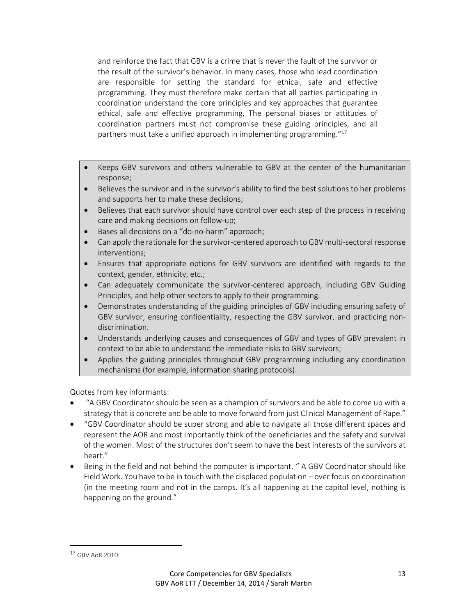and reinforce the fact that GBV is a crime that is never the fault of the survivor or the result of the survivor's behavior. In many cases, those who lead coordination are responsible for setting the standard for ethical, safe and effective programming. They must therefore make certain that all parties participating in coordination understand the core principles and key approaches that guarantee ethical, safe and effective programming, The personal biases or attitudes of coordination partners must not compromise these guiding principles, and all partners must take a unified approach in implementing programming."<sup>17</sup>

- Keeps GBV survivors and others vulnerable to GBV at the center of the humanitarian response;
- Believes the survivor and in the survivor's ability to find the best solutions to her problems and supports her to make these decisions;
- Believes that each survivor should have control over each step of the process in receiving care and making decisions on follow-up;
- Bases all decisions on a "do-no-harm" approach;
- Can apply the rationale for the survivor-centered approach to GBV multi-sectoral response interventions;
- Ensures that appropriate options for GBV survivors are identified with regards to the context, gender, ethnicity, etc.;
- Can adequately communicate the survivor-centered approach, including GBV Guiding Principles, and help other sectors to apply to their programming.
- Demonstrates understanding of the guiding principles of GBV including ensuring safety of GBV survivor, ensuring confidentiality, respecting the GBV survivor, and practicing nondiscrimination.
- Understands underlying causes and consequences of GBV and types of GBV prevalent in context to be able to understand the immediate risks to GBV survivors;
- Applies the guiding principles throughout GBV programming including any coordination mechanisms (for example, information sharing protocols).

Quotes from key informants:

- "A GBV Coordinator should be seen as a champion of survivors and be able to come up with a strategy that is concrete and be able to move forward from just Clinical Management of Rape."
- "GBV Coordinator should be super strong and able to navigate all those different spaces and represent the AOR and most importantly think of the beneficiaries and the safety and survival of the women. Most of the structures don't seem to have the best interests of the survivors at heart."
- Being in the field and not behind the computer is important. " A GBV Coordinator should like Field Work. You have to be in touch with the displaced population – over focus on coordination (in the meeting room and not in the camps. It's all happening at the capitol level, nothing is happening on the ground."

 $17$  GBV AoR 2010.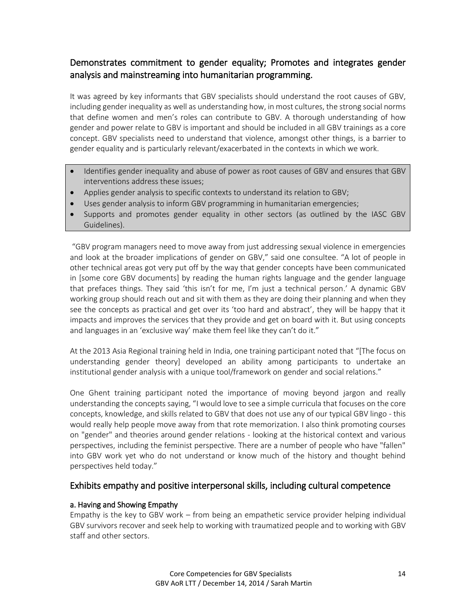# Demonstrates commitment to gender equality; Promotes and integrates gender analysis and mainstreaming into humanitarian programming.

It was agreed by key informants that GBV specialists should understand the root causes of GBV, including gender inequality as well as understanding how, in most cultures, the strong social norms that define women and men's roles can contribute to GBV. A thorough understanding of how gender and power relate to GBV is important and should be included in all GBV trainings as a core concept. GBV specialists need to understand that violence, amongst other things, is a barrier to gender equality and is particularly relevant/exacerbated in the contexts in which we work.

- Identifies gender inequality and abuse of power as root causes of GBV and ensures that GBV interventions address these issues;
- Applies gender analysis to specific contexts to understand its relation to GBV;
- Uses gender analysis to inform GBV programming in humanitarian emergencies;
- Supports and promotes gender equality in other sectors (as outlined by the IASC GBV Guidelines).

"GBV program managers need to move away from just addressing sexual violence in emergencies and look at the broader implications of gender on GBV," said one consultee. "A lot of people in other technical areas got very put off by the way that gender concepts have been communicated in [some core GBV documents] by reading the human rights language and the gender language that prefaces things. They said 'this isn't for me, I'm just a technical person.' A dynamic GBV working group should reach out and sit with them as they are doing their planning and when they see the concepts as practical and get over its 'too hard and abstract', they will be happy that it impacts and improves the services that they provide and get on board with it. But using concepts and languages in an 'exclusive way' make them feel like they can't do it."

At the 2013 Asia Regional training held in India, one training participant noted that "[The focus on understanding gender theory] developed an ability among participants to undertake an institutional gender analysis with a unique tool/framework on gender and social relations."

One Ghent training participant noted the importance of moving beyond jargon and really understanding the concepts saying, "I would love to see a simple curricula that focuses on the core concepts, knowledge, and skills related to GBV that does not use any of our typical GBV lingo - this would really help people move away from that rote memorization. I also think promoting courses on "gender" and theories around gender relations - looking at the historical context and various perspectives, including the feminist perspective. There are a number of people who have "fallen" into GBV work yet who do not understand or know much of the history and thought behind perspectives held today."

#### Exhibits empathy and positive interpersonal skills, including cultural competence

#### a. Having and Showing Empathy

Empathy is the key to GBV work – from being an empathetic service provider helping individual GBV survivors recover and seek help to working with traumatized people and to working with GBV staff and other sectors.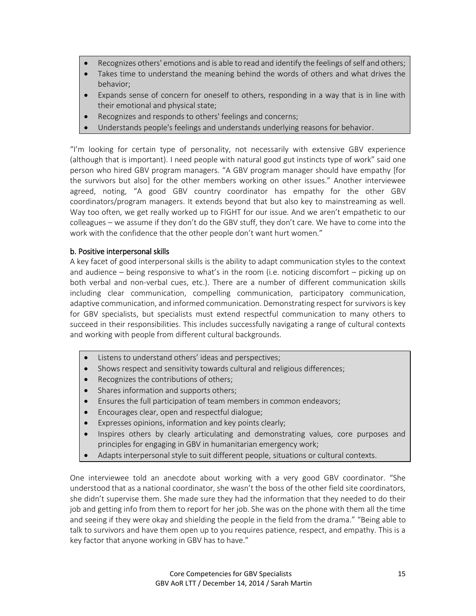- Recognizes others' emotions and is able to read and identify the feelings of self and others;
- Takes time to understand the meaning behind the words of others and what drives the behavior;
- Expands sense of concern for oneself to others, responding in a way that is in line with their emotional and physical state;
- Recognizes and responds to others' feelings and concerns;
- Understands people's feelings and understands underlying reasons for behavior.

"I'm looking for certain type of personality, not necessarily with extensive GBV experience (although that is important). I need people with natural good gut instincts type of work" said one person who hired GBV program managers. "A GBV program manager should have empathy [for the survivors but also] for the other members working on other issues." Another interviewee agreed, noting, "A good GBV country coordinator has empathy for the other GBV coordinators/program managers. It extends beyond that but also key to mainstreaming as well. Way too often, we get really worked up to FIGHT for our issue. And we aren't empathetic to our colleagues – we assume if they don't do the GBV stuff, they don't care. We have to come into the work with the confidence that the other people don't want hurt women."

#### b. Positive interpersonal skills

A key facet of good interpersonal skills is the ability to adapt communication styles to the context and audience – being responsive to what's in the room (i.e. noticing discomfort – picking up on both verbal and non-verbal cues, etc.). There are a number of different communication skills including clear communication, compelling communication, participatory communication, adaptive communication, and informed communication. Demonstrating respect for survivors is key for GBV specialists, but specialists must extend respectful communication to many others to succeed in their responsibilities. This includes successfully navigating a range of cultural contexts and working with people from different cultural backgrounds.

- Listens to understand others' ideas and perspectives;
- Shows respect and sensitivity towards cultural and religious differences;
- Recognizes the contributions of others;
- Shares information and supports others;
- Ensures the full participation of team members in common endeavors;
- Encourages clear, open and respectful dialogue;
- Expresses opinions, information and key points clearly;
- Inspires others by clearly articulating and demonstrating values, core purposes and principles for engaging in GBV in humanitarian emergency work;
- Adapts interpersonal style to suit different people, situations or cultural contexts.

One interviewee told an anecdote about working with a very good GBV coordinator. "She understood that as a national coordinator, she wasn't the boss of the other field site coordinators, she didn't supervise them. She made sure they had the information that they needed to do their job and getting info from them to report for her job. She was on the phone with them all the time and seeing if they were okay and shielding the people in the field from the drama." "Being able to talk to survivors and have them open up to you requires patience, respect, and empathy. This is a key factor that anyone working in GBV has to have."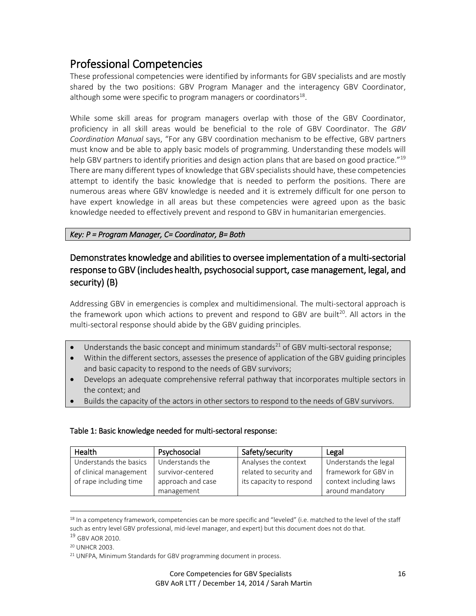# Professional Competencies

These professional competencies were identified by informants for GBV specialists and are mostly shared by the two positions: GBV Program Manager and the interagency GBV Coordinator, although some were specific to program managers or coordinators $^{18}$ .

While some skill areas for program managers overlap with those of the GBV Coordinator, proficiency in all skill areas would be beneficial to the role of GBV Coordinator. The *GBV Coordination Manual* says, "For any GBV coordination mechanism to be effective, GBV partners must know and be able to apply basic models of programming. Understanding these models will help GBV partners to identify priorities and design action plans that are based on good practice."<sup>19</sup> There are many different types of knowledge that GBV specialists should have, these competencies attempt to identify the basic knowledge that is needed to perform the positions. There are numerous areas where GBV knowledge is needed and it is extremely difficult for one person to have expert knowledge in all areas but these competencies were agreed upon as the basic knowledge needed to effectively prevent and respond to GBV in humanitarian emergencies.

#### *Key: P = Program Manager, C= Coordinator, B= Both*

# Demonstrates knowledge and abilities to oversee implementation of a multi-sectorial response to GBV (includes health, psychosocial support, case management, legal, and security) (B)

Addressing GBV in emergencies is complex and multidimensional. The multi-sectoral approach is the framework upon which actions to prevent and respond to GBV are built<sup>20</sup>. All actors in the multi-sectoral response should abide by the GBV guiding principles.

- $\bullet$  Understands the basic concept and minimum standards<sup>21</sup> of GBV multi-sectoral response;
- Within the different sectors, assesses the presence of application of the GBV guiding principles and basic capacity to respond to the needs of GBV survivors;
- Develops an adequate comprehensive referral pathway that incorporates multiple sectors in the context; and
- Builds the capacity of the actors in other sectors to respond to the needs of GBV survivors.

#### Table 1: Basic knowledge needed for multi-sectoral response:

| Health                 | Psychosocial      | Safety/security         | Legal                  |
|------------------------|-------------------|-------------------------|------------------------|
| Understands the basics | Understands the   | Analyses the context    | Understands the legal  |
| of clinical management | survivor-centered | related to security and | framework for GBV in   |
| of rape including time | approach and case | its capacity to respond | context including laws |
|                        | management        |                         | around mandatory       |

<sup>&</sup>lt;sup>18</sup> In a competency framework, competencies can be more specific and "leveled" (i.e. matched to the level of the staff such as entry level GBV professional, mid-level manager, and expert) but this document does not do that.

l

<sup>19</sup> GBV AOR 2010.

<sup>20</sup> UNHCR 2003.

<sup>&</sup>lt;sup>21</sup> UNFPA, Minimum Standards for GBV programming document in process.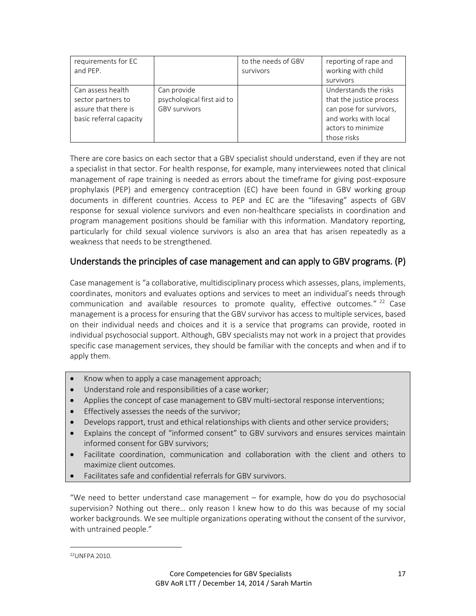| requirements for EC<br>and PEP.                                                            |                                                                   | to the needs of GBV<br>survivors | reporting of rape and<br>working with child<br>survivors                                                                                  |
|--------------------------------------------------------------------------------------------|-------------------------------------------------------------------|----------------------------------|-------------------------------------------------------------------------------------------------------------------------------------------|
| Can assess health<br>sector partners to<br>assure that there is<br>basic referral capacity | Can provide<br>psychological first aid to<br><b>GBV survivors</b> |                                  | Understands the risks<br>that the justice process<br>can pose for survivors,<br>and works with local<br>actors to minimize<br>those risks |

There are core basics on each sector that a GBV specialist should understand, even if they are not a specialist in that sector. For health response, for example, many interviewees noted that clinical management of rape training is needed as errors about the timeframe for giving post-exposure prophylaxis (PEP) and emergency contraception (EC) have been found in GBV working group documents in different countries. Access to PEP and EC are the "lifesaving" aspects of GBV response for sexual violence survivors and even non-healthcare specialists in coordination and program management positions should be familiar with this information. Mandatory reporting, particularly for child sexual violence survivors is also an area that has arisen repeatedly as a weakness that needs to be strengthened.

## Understands the principles of case management and can apply to GBV programs. (P)

Case management is "a collaborative, multidisciplinary process which assesses, plans, implements, coordinates, monitors and evaluates options and services to meet an individual's needs through communication and available resources to promote quality, effective outcomes."<sup>22</sup> Case management is a process for ensuring that the GBV survivor has access to multiple services, based on their individual needs and choices and it is a service that programs can provide, rooted in individual psychosocial support. Although, GBV specialists may not work in a project that provides specific case management services, they should be familiar with the concepts and when and if to apply them.

- Know when to apply a case management approach;
- Understand role and responsibilities of a case worker;
- Applies the concept of case management to GBV multi-sectoral response interventions;
- Effectively assesses the needs of the survivor;
- Develops rapport, trust and ethical relationships with clients and other service providers;
- Explains the concept of "informed consent" to GBV survivors and ensures services maintain informed consent for GBV survivors;
- Facilitate coordination, communication and collaboration with the client and others to maximize client outcomes.
- Facilitates safe and confidential referrals for GBV survivors.

"We need to better understand case management – for example, how do you do psychosocial supervision? Nothing out there… only reason I knew how to do this was because of my social worker backgrounds. We see multiple organizations operating without the consent of the survivor, with untrained people."

 $\overline{a}$ 

<sup>22</sup>UNFPA 2010.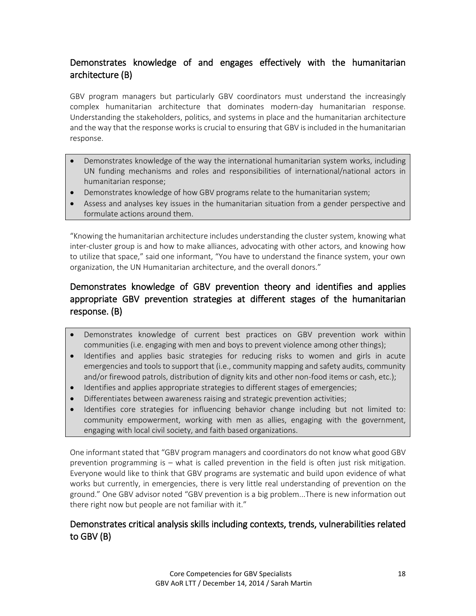# Demonstrates knowledge of and engages effectively with the humanitarian architecture (B)

GBV program managers but particularly GBV coordinators must understand the increasingly complex humanitarian architecture that dominates modern-day humanitarian response. Understanding the stakeholders, politics, and systems in place and the humanitarian architecture and the way that the response works is crucial to ensuring that GBV is included in the humanitarian response.

- Demonstrates knowledge of the way the international humanitarian system works, including UN funding mechanisms and roles and responsibilities of international/national actors in humanitarian response;
- Demonstrates knowledge of how GBV programs relate to the humanitarian system;
- Assess and analyses key issues in the humanitarian situation from a gender perspective and formulate actions around them.

"Knowing the humanitarian architecture includes understanding the cluster system, knowing what inter-cluster group is and how to make alliances, advocating with other actors, and knowing how to utilize that space," said one informant, "You have to understand the finance system, your own organization, the UN Humanitarian architecture, and the overall donors."

# Demonstrates knowledge of GBV prevention theory and identifies and applies appropriate GBV prevention strategies at different stages of the humanitarian response. (B)

- Demonstrates knowledge of current best practices on GBV prevention work within communities (i.e. engaging with men and boys to prevent violence among other things);
- Identifies and applies basic strategies for reducing risks to women and girls in acute emergencies and tools to support that (i.e., community mapping and safety audits, community and/or firewood patrols, distribution of dignity kits and other non-food items or cash, etc.);
- Identifies and applies appropriate strategies to different stages of emergencies;
- Differentiates between awareness raising and strategic prevention activities;
- Identifies core strategies for influencing behavior change including but not limited to: community empowerment, working with men as allies, engaging with the government, engaging with local civil society, and faith based organizations.

One informant stated that "GBV program managers and coordinators do not know what good GBV prevention programming is – what is called prevention in the field is often just risk mitigation. Everyone would like to think that GBV programs are systematic and build upon evidence of what works but currently, in emergencies, there is very little real understanding of prevention on the ground." One GBV advisor noted "GBV prevention is a big problem...There is new information out there right now but people are not familiar with it."

## Demonstrates critical analysis skills including contexts, trends, vulnerabilities related to GBV (B)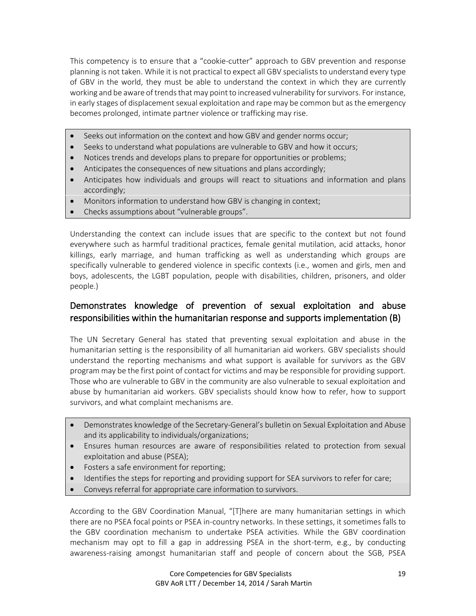This competency is to ensure that a "cookie-cutter" approach to GBV prevention and response planning is not taken. While it is not practical to expect all GBV specialists to understand every type of GBV in the world, they must be able to understand the context in which they are currently working and be aware of trends that may point to increased vulnerability for survivors. For instance, in early stages of displacement sexual exploitation and rape may be common but as the emergency becomes prolonged, intimate partner violence or trafficking may rise.

- Seeks out information on the context and how GBV and gender norms occur;
- Seeks to understand what populations are vulnerable to GBV and how it occurs;
- Notices trends and develops plans to prepare for opportunities or problems;
- Anticipates the consequences of new situations and plans accordingly;
- Anticipates how individuals and groups will react to situations and information and plans accordingly;
- Monitors information to understand how GBV is changing in context;
- Checks assumptions about "vulnerable groups".

Understanding the context can include issues that are specific to the context but not found everywhere such as harmful traditional practices, female genital mutilation, acid attacks, honor killings, early marriage, and human trafficking as well as understanding which groups are specifically vulnerable to gendered violence in specific contexts (i.e., women and girls, men and boys, adolescents, the LGBT population, people with disabilities, children, prisoners, and older people.)

## Demonstrates knowledge of prevention of sexual exploitation and abuse responsibilities within the humanitarian response and supports implementation (B)

The UN Secretary General has stated that preventing sexual exploitation and abuse in the humanitarian setting is the responsibility of all humanitarian aid workers. GBV specialists should understand the reporting mechanisms and what support is available for survivors as the GBV program may be the first point of contact for victims and may be responsible for providing support. Those who are vulnerable to GBV in the community are also vulnerable to sexual exploitation and abuse by humanitarian aid workers. GBV specialists should know how to refer, how to support survivors, and what complaint mechanisms are.

- Demonstrates knowledge of the Secretary-General's bulletin on Sexual Exploitation and Abuse and its applicability to individuals/organizations;
- Ensures human resources are aware of responsibilities related to protection from sexual exploitation and abuse (PSEA);
- Fosters a safe environment for reporting;
- Identifies the steps for reporting and providing support for SEA survivors to refer for care;
- Conveys referral for appropriate care information to survivors.

According to the GBV Coordination Manual, "[T]here are many humanitarian settings in which there are no PSEA focal points or PSEA in-country networks. In these settings, it sometimes falls to the GBV coordination mechanism to undertake PSEA activities. While the GBV coordination mechanism may opt to fill a gap in addressing PSEA in the short-term, e.g., by conducting awareness-raising amongst humanitarian staff and people of concern about the SGB, PSEA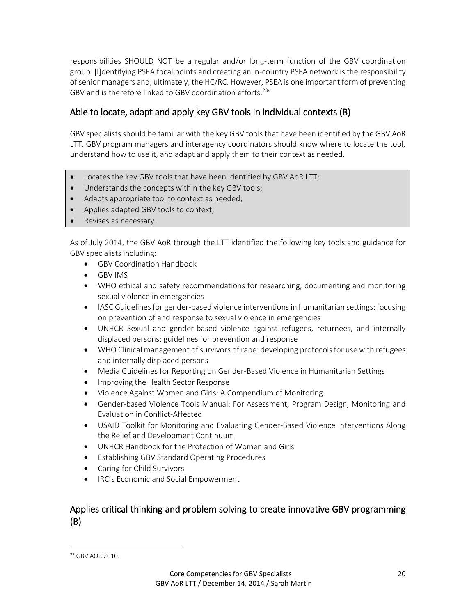responsibilities SHOULD NOT be a regular and/or long-term function of the GBV coordination group. [I]dentifying PSEA focal points and creating an in-country PSEA network is the responsibility of senior managers and, ultimately, the HC/RC. However, PSEA is one important form of preventing GBV and is therefore linked to GBV coordination efforts.<sup>23"</sup>

# Able to locate, adapt and apply key GBV tools in individual contexts (B)

GBV specialists should be familiar with the key GBV tools that have been identified by the GBV AoR LTT. GBV program managers and interagency coordinators should know where to locate the tool, understand how to use it, and adapt and apply them to their context as needed.

- Locates the key GBV tools that have been identified by GBV AoR LTT;
- Understands the concepts within the key GBV tools;
- Adapts appropriate tool to context as needed;
- Applies adapted GBV tools to context;
- Revises as necessary.

As of July 2014, the GBV AoR through the LTT identified the following key tools and guidance for GBV specialists including:

- GBV Coordination Handbook
- GBV IMS
- WHO ethical and safety recommendations for researching, documenting and monitoring sexual violence in emergencies
- IASC Guidelines for gender-based violence interventions in humanitarian settings: focusing on prevention of and response to sexual violence in emergencies
- UNHCR Sexual and gender-based violence against refugees, returnees, and internally displaced persons: guidelines for prevention and response
- WHO Clinical management of survivors of rape: developing protocols for use with refugees and internally displaced persons
- Media Guidelines for Reporting on Gender-Based Violence in Humanitarian Settings
- **•** Improving the Health Sector Response
- Violence Against Women and Girls: A Compendium of Monitoring
- Gender-based Violence Tools Manual: For Assessment, Program Design, Monitoring and Evaluation in Conflict-Affected
- USAID Toolkit for Monitoring and Evaluating Gender-Based Violence Interventions Along the Relief and Development Continuum
- UNHCR Handbook for the Protection of Women and Girls
- Establishing GBV Standard Operating Procedures
- Caring for Child Survivors
- **IRC's Economic and Social Empowerment**

## Applies critical thinking and problem solving to create innovative GBV programming (B)

 $\overline{a}$ 

<sup>23</sup> GBV AOR 2010.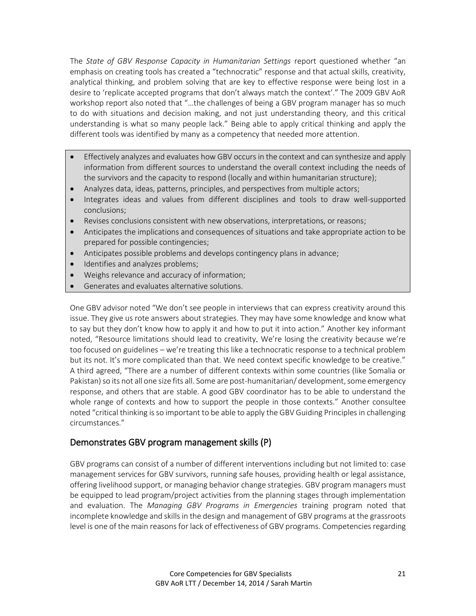The *State of GBV Response Capacity in Humanitarian Settings* report questioned whether "an emphasis on creating tools has created a "technocratic" response and that actual skills, creativity, analytical thinking, and problem solving that are key to effective response were being lost in a desire to 'replicate accepted programs that don't always match the context'." The 2009 GBV AoR workshop report also noted that "…the challenges of being a GBV program manager has so much to do with situations and decision making, and not just understanding theory, and this critical understanding is what so many people lack." Being able to apply critical thinking and apply the different tools was identified by many as a competency that needed more attention.

- Effectively analyzes and evaluates how GBV occurs in the context and can synthesize and apply information from different sources to understand the overall context including the needs of the survivors and the capacity to respond (locally and within humanitarian structure);
- Analyzes data, ideas, patterns, principles, and perspectives from multiple actors;
- Integrates ideas and values from different disciplines and tools to draw well-supported conclusions;
- Revises conclusions consistent with new observations, interpretations, or reasons;
- Anticipates the implications and consequences of situations and take appropriate action to be prepared for possible contingencies;
- Anticipates possible problems and develops contingency plans in advance;
- Identifies and analyzes problems;
- Weighs relevance and accuracy of information;
- Generates and evaluates alternative solutions.

One GBV advisor noted "We don't see people in interviews that can express creativity around this issue. They give us rote answers about strategies. They may have some knowledge and know what to say but they don't know how to apply it and how to put it into action." Another key informant noted, "Resource limitations should lead to creativity*.* We're losing the creativity because we're too focused on guidelines – we're treating this like a technocratic response to a technical problem but its not. It's more complicated than that. We need context specific knowledge to be creative." A third agreed, "There are a number of different contexts within some countries (like Somalia or Pakistan) so its not all one size fits all. Some are post-humanitarian/ development, some emergency response, and others that are stable. A good GBV coordinator has to be able to understand the whole range of contexts and how to support the people in those contexts." Another consultee noted "critical thinking is so important to be able to apply the GBV Guiding Principles in challenging circumstances."

#### Demonstrates GBV program management skills (P)

GBV programs can consist of a number of different interventions including but not limited to: case management services for GBV survivors, running safe houses, providing health or legal assistance, offering livelihood support, or managing behavior change strategies. GBV program managers must be equipped to lead program/project activities from the planning stages through implementation and evaluation. The *Managing GBV Programs in Emergencies* training program noted that incomplete knowledge and skills in the design and management of GBV programs at the grassroots level is one of the main reasons for lack of effectiveness of GBV programs. Competencies regarding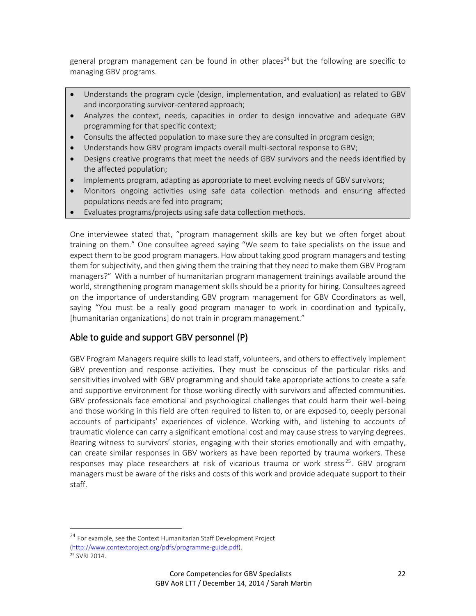general program management can be found in other places<sup>24</sup> but the following are specific to managing GBV programs.

- Understands the program cycle (design, implementation, and evaluation) as related to GBV and incorporating survivor-centered approach;
- Analyzes the context, needs, capacities in order to design innovative and adequate GBV programming for that specific context;
- Consults the affected population to make sure they are consulted in program design;
- Understands how GBV program impacts overall multi-sectoral response to GBV;
- Designs creative programs that meet the needs of GBV survivors and the needs identified by the affected population;
- Implements program, adapting as appropriate to meet evolving needs of GBV survivors;
- Monitors ongoing activities using safe data collection methods and ensuring affected populations needs are fed into program;
- Evaluates programs/projects using safe data collection methods.

One interviewee stated that, "program management skills are key but we often forget about training on them." One consultee agreed saying "We seem to take specialists on the issue and expect them to be good program managers. How about taking good program managers and testing them for subjectivity, and then giving them the training that they need to make them GBV Program managers?" With a number of humanitarian program management trainings available around the world, strengthening program management skills should be a priority for hiring. Consultees agreed on the importance of understanding GBV program management for GBV Coordinators as well, saying "You must be a really good program manager to work in coordination and typically, [humanitarian organizations] do not train in program management."

## Able to guide and support GBV personnel (P)

GBV Program Managers require skills to lead staff, volunteers, and others to effectively implement GBV prevention and response activities. They must be conscious of the particular risks and sensitivities involved with GBV programming and should take appropriate actions to create a safe and supportive environment for those working directly with survivors and affected communities. GBV professionals face emotional and psychological challenges that could harm their well-being and those working in this field are often required to listen to, or are exposed to, deeply personal accounts of participants' experiences of violence. Working with, and listening to accounts of traumatic violence can carry a significant emotional cost and may cause stress to varying degrees. Bearing witness to survivors' stories, engaging with their stories emotionally and with empathy, can create similar responses in GBV workers as have been reported by trauma workers. These responses may place researchers at risk of vicarious trauma or work stress<sup>25</sup>. GBV program managers must be aware of the risks and costs of this work and provide adequate support to their staff.

<sup>&</sup>lt;sup>24</sup> For example, see the Context Humanitarian Staff Development Project [\(http://www.contextproject.org/pdfs/programme-guide.pdf\)](http://www.contextproject.org/pdfs/programme-guide.pdf).

<sup>25</sup> SVRI 2014.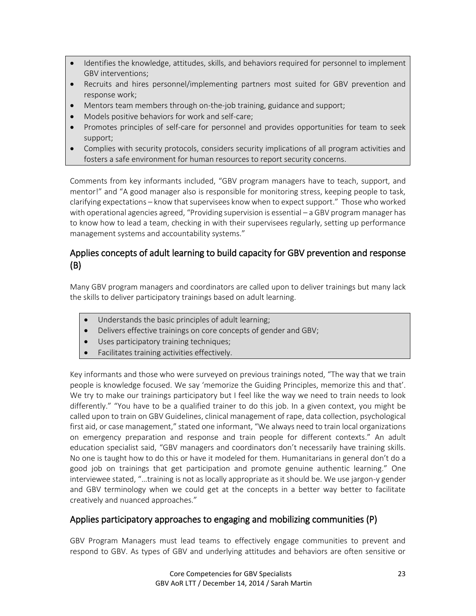- Identifies the knowledge, attitudes, skills, and behaviors required for personnel to implement GBV interventions;
- Recruits and hires personnel/implementing partners most suited for GBV prevention and response work;
- Mentors team members through on-the-job training, guidance and support;
- Models positive behaviors for work and self-care;
- Promotes principles of self-care for personnel and provides opportunities for team to seek support;
- Complies with security protocols, considers security implications of all program activities and fosters a safe environment for human resources to report security concerns.

Comments from key informants included, "GBV program managers have to teach, support, and mentor!" and "A good manager also is responsible for monitoring stress, keeping people to task, clarifying expectations – know that supervisees know when to expect support." Those who worked with operational agencies agreed, "Providing supervision is essential – a GBV program manager has to know how to lead a team, checking in with their supervisees regularly, setting up performance management systems and accountability systems."

# Applies concepts of adult learning to build capacity for GBV prevention and response (B)

Many GBV program managers and coordinators are called upon to deliver trainings but many lack the skills to deliver participatory trainings based on adult learning.

- Understands the basic principles of adult learning;
- Delivers effective trainings on core concepts of gender and GBV;
- Uses participatory training techniques;
- Facilitates training activities effectively.

Key informants and those who were surveyed on previous trainings noted, "The way that we train people is knowledge focused. We say 'memorize the Guiding Principles, memorize this and that'. We try to make our trainings participatory but I feel like the way we need to train needs to look differently." "You have to be a qualified trainer to do this job. In a given context, you might be called upon to train on GBV Guidelines, clinical management of rape, data collection, psychological first aid, or case management," stated one informant, "We always need to train local organizations on emergency preparation and response and train people for different contexts." An adult education specialist said, "GBV managers and coordinators don't necessarily have training skills. No one is taught how to do this or have it modeled for them. Humanitarians in general don't do a good job on trainings that get participation and promote genuine authentic learning." One interviewee stated, "…training is not as locally appropriate as it should be. We use jargon-y gender and GBV terminology when we could get at the concepts in a better way better to facilitate creatively and nuanced approaches."

## Applies participatory approaches to engaging and mobilizing communities (P)

GBV Program Managers must lead teams to effectively engage communities to prevent and respond to GBV. As types of GBV and underlying attitudes and behaviors are often sensitive or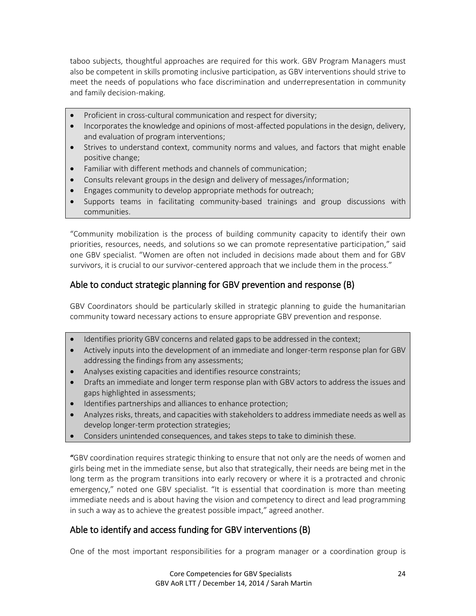taboo subjects, thoughtful approaches are required for this work. GBV Program Managers must also be competent in skills promoting inclusive participation, as GBV interventions should strive to meet the needs of populations who face discrimination and underrepresentation in community and family decision-making.

- Proficient in cross-cultural communication and respect for diversity;
- Incorporates the knowledge and opinions of most-affected populations in the design, delivery, and evaluation of program interventions;
- Strives to understand context, community norms and values, and factors that might enable positive change;
- Familiar with different methods and channels of communication;
- Consults relevant groups in the design and delivery of messages/information;
- Engages community to develop appropriate methods for outreach;
- Supports teams in facilitating community-based trainings and group discussions with communities.

"Community mobilization is the process of building community capacity to identify their own priorities, resources, needs, and solutions so we can promote representative participation," said one GBV specialist. "Women are often not included in decisions made about them and for GBV survivors, it is crucial to our survivor-centered approach that we include them in the process."

#### Able to conduct strategic planning for GBV prevention and response (B)

GBV Coordinators should be particularly skilled in strategic planning to guide the humanitarian community toward necessary actions to ensure appropriate GBV prevention and response.

- Identifies priority GBV concerns and related gaps to be addressed in the context;
- Actively inputs into the development of an immediate and longer-term response plan for GBV addressing the findings from any assessments;
- Analyses existing capacities and identifies resource constraints;
- Drafts an immediate and longer term response plan with GBV actors to address the issues and gaps highlighted in assessments;
- Identifies partnerships and alliances to enhance protection;
- Analyzes risks, threats, and capacities with stakeholders to address immediate needs as well as develop longer-term protection strategies;
- Considers unintended consequences, and takes steps to take to diminish these.

"GBV coordination requires strategic thinking to ensure that not only are the needs of women and girls being met in the immediate sense, but also that strategically, their needs are being met in the long term as the program transitions into early recovery or where it is a protracted and chronic emergency," noted one GBV specialist. "It is essential that coordination is more than meeting immediate needs and is about having the vision and competency to direct and lead programming in such a way as to achieve the greatest possible impact," agreed another.

## Able to identify and access funding for GBV interventions (B)

One of the most important responsibilities for a program manager or a coordination group is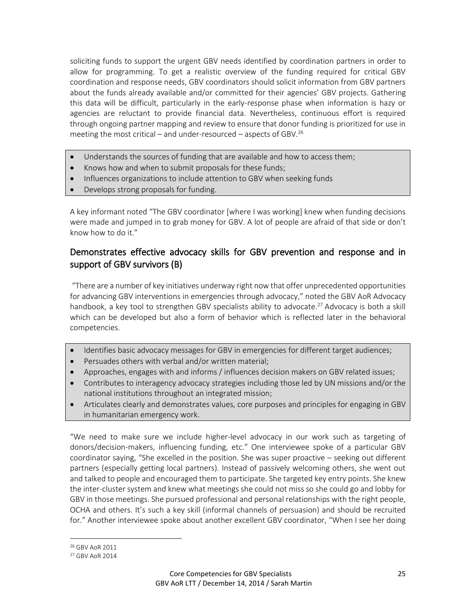soliciting funds to support the urgent GBV needs identified by coordination partners in order to allow for programming. To get a realistic overview of the funding required for critical GBV coordination and response needs, GBV coordinators should solicit information from GBV partners about the funds already available and/or committed for their agencies' GBV projects. Gathering this data will be difficult, particularly in the early-response phase when information is hazy or agencies are reluctant to provide financial data. Nevertheless, continuous effort is required through ongoing partner mapping and review to ensure that donor funding is prioritized for use in meeting the most critical – and under-resourced – aspects of GBV.<sup>26</sup>

- Understands the sources of funding that are available and how to access them;
- Knows how and when to submit proposals for these funds;
- Influences organizations to include attention to GBV when seeking funds
- Develops strong proposals for funding.

A key informant noted "The GBV coordinator [where I was working] knew when funding decisions were made and jumped in to grab money for GBV. A lot of people are afraid of that side or don't know how to do it."

## Demonstrates effective advocacy skills for GBV prevention and response and in support of GBV survivors (B)

"There are a number of key initiatives underway right now that offer unprecedented opportunities for advancing GBV interventions in emergencies through advocacy," noted the GBV AoR Advocacy handbook, a key tool to strengthen GBV specialists ability to advocate.<sup>27</sup> Advocacy is both a skill which can be developed but also a form of behavior which is reflected later in the behavioral competencies.

- Identifies basic advocacy messages for GBV in emergencies for different target audiences;
- Persuades others with verbal and/or written material;
- Approaches, engages with and informs / influences decision makers on GBV related issues;
- Contributes to interagency advocacy strategies including those led by UN missions and/or the national institutions throughout an integrated mission;
- Articulates clearly and demonstrates values, core purposes and principles for engaging in GBV in humanitarian emergency work.

"We need to make sure we include higher-level advocacy in our work such as targeting of donors/decision-makers, influencing funding, etc." One interviewee spoke of a particular GBV coordinator saying, "She excelled in the position. She was super proactive – seeking out different partners (especially getting local partners). Instead of passively welcoming others, she went out and talked to people and encouraged them to participate. She targeted key entry points. She knew the inter-cluster system and knew what meetings she could not miss so she could go and lobby for GBV in those meetings. She pursued professional and personal relationships with the right people, OCHA and others. It's such a key skill (informal channels of persuasion) and should be recruited for." Another interviewee spoke about another excellent GBV coordinator, "When I see her doing

<sup>26</sup> GBV AoR 2011

<sup>27</sup> GBV AoR 2014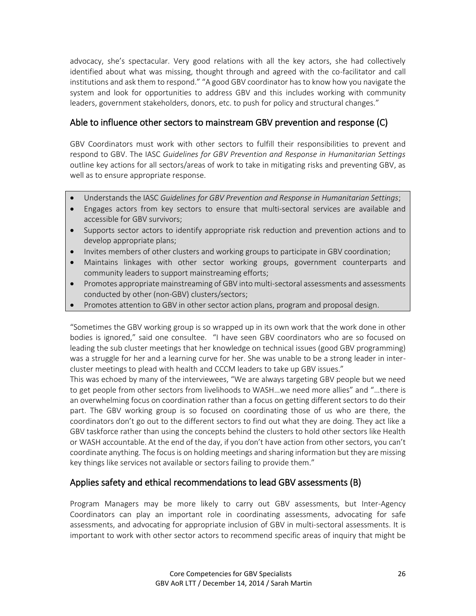advocacy, she's spectacular. Very good relations with all the key actors, she had collectively identified about what was missing, thought through and agreed with the co-facilitator and call institutions and ask them to respond." "A good GBV coordinator has to know how you navigate the system and look for opportunities to address GBV and this includes working with community leaders, government stakeholders, donors, etc. to push for policy and structural changes."

#### Able to influence other sectors to mainstream GBV prevention and response (C)

GBV Coordinators must work with other sectors to fulfill their responsibilities to prevent and respond to GBV. The IASC *Guidelines for GBV Prevention and Response in Humanitarian Settings* outline key actions for all sectors/areas of work to take in mitigating risks and preventing GBV, as well as to ensure appropriate response.

- Understands the IASC *Guidelines for GBV Prevention and Response in Humanitarian Settings*;
- Engages actors from key sectors to ensure that multi-sectoral services are available and accessible for GBV survivors;
- Supports sector actors to identify appropriate risk reduction and prevention actions and to develop appropriate plans;
- Invites members of other clusters and working groups to participate in GBV coordination;
- Maintains linkages with other sector working groups, government counterparts and community leaders to support mainstreaming efforts;
- Promotes appropriate mainstreaming of GBV into multi-sectoral assessments and assessments conducted by other (non-GBV) clusters/sectors;
- Promotes attention to GBV in other sector action plans, program and proposal design.

"Sometimes the GBV working group is so wrapped up in its own work that the work done in other bodies is ignored," said one consultee. "I have seen GBV coordinators who are so focused on leading the sub cluster meetings that her knowledge on technical issues (good GBV programming) was a struggle for her and a learning curve for her. She was unable to be a strong leader in intercluster meetings to plead with health and CCCM leaders to take up GBV issues."

This was echoed by many of the interviewees, "We are always targeting GBV people but we need to get people from other sectors from livelihoods to WASH…we need more allies" and "…there is an overwhelming focus on coordination rather than a focus on getting different sectors to do their part. The GBV working group is so focused on coordinating those of us who are there, the coordinators don't go out to the different sectors to find out what they are doing. They act like a GBV taskforce rather than using the concepts behind the clusters to hold other sectors like Health or WASH accountable. At the end of the day, if you don't have action from other sectors, you can't coordinate anything. The focus is on holding meetings and sharing information but they are missing key things like services not available or sectors failing to provide them."

## Applies safety and ethical recommendations to lead GBV assessments (B)

Program Managers may be more likely to carry out GBV assessments, but Inter-Agency Coordinators can play an important role in coordinating assessments, advocating for safe assessments, and advocating for appropriate inclusion of GBV in multi-sectoral assessments. It is important to work with other sector actors to recommend specific areas of inquiry that might be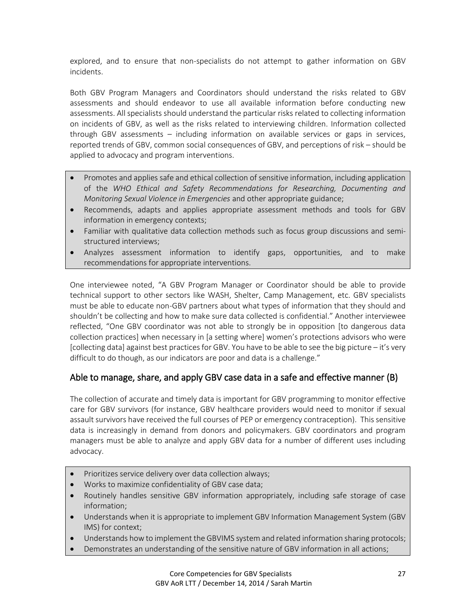explored, and to ensure that non-specialists do not attempt to gather information on GBV incidents.

Both GBV Program Managers and Coordinators should understand the risks related to GBV assessments and should endeavor to use all available information before conducting new assessments. All specialists should understand the particular risks related to collecting information on incidents of GBV, as well as the risks related to interviewing children. Information collected through GBV assessments – including information on available services or gaps in services, reported trends of GBV, common social consequences of GBV, and perceptions of risk – should be applied to advocacy and program interventions.

- Promotes and applies safe and ethical collection of sensitive information, including application of the *WHO Ethical and Safety Recommendations for Researching, Documenting and Monitoring Sexual Violence in Emergencies* and other appropriate guidance;
- Recommends, adapts and applies appropriate assessment methods and tools for GBV information in emergency contexts;
- Familiar with qualitative data collection methods such as focus group discussions and semistructured interviews;
- Analyzes assessment information to identify gaps, opportunities, and to make recommendations for appropriate interventions.

One interviewee noted, "A GBV Program Manager or Coordinator should be able to provide technical support to other sectors like WASH, Shelter, Camp Management, etc. GBV specialists must be able to educate non-GBV partners about what types of information that they should and shouldn't be collecting and how to make sure data collected is confidential." Another interviewee reflected, "One GBV coordinator was not able to strongly be in opposition [to dangerous data collection practices] when necessary in [a setting where] women's protections advisors who were [collecting data] against best practices for GBV. You have to be able to see the big picture – it's very difficult to do though, as our indicators are poor and data is a challenge."

## Able to manage, share, and apply GBV case data in a safe and effective manner (B)

The collection of accurate and timely data is important for GBV programming to monitor effective care for GBV survivors (for instance, GBV healthcare providers would need to monitor if sexual assault survivors have received the full courses of PEP or emergency contraception). This sensitive data is increasingly in demand from donors and policymakers. GBV coordinators and program managers must be able to analyze and apply GBV data for a number of different uses including advocacy.

- Prioritizes service delivery over data collection always;
- Works to maximize confidentiality of GBV case data;
- Routinely handles sensitive GBV information appropriately, including safe storage of case information;
- Understands when it is appropriate to implement GBV Information Management System (GBV IMS) for context;
- Understands how to implement the GBVIMS system and related information sharing protocols;
- Demonstrates an understanding of the sensitive nature of GBV information in all actions;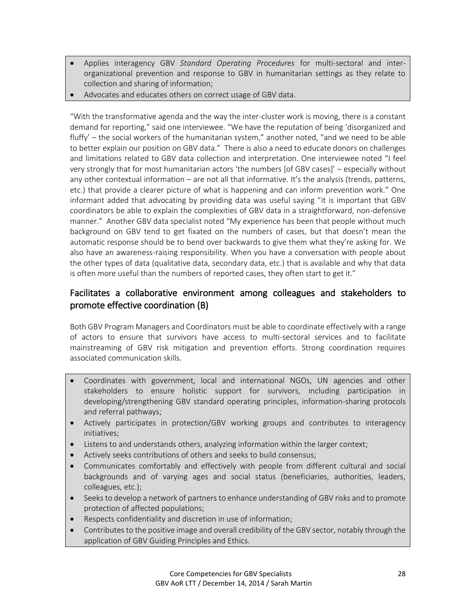- Applies interagency GBV *Standard Operating Procedures* for multi-sectoral and interorganizational prevention and response to GBV in humanitarian settings as they relate to collection and sharing of information;
- Advocates and educates others on correct usage of GBV data.

"With the transformative agenda and the way the inter-cluster work is moving, there is a constant demand for reporting," said one interviewee. "We have the reputation of being 'disorganized and fluffy' – the social workers of the humanitarian system," another noted, "and we need to be able to better explain our position on GBV data." There is also a need to educate donors on challenges and limitations related to GBV data collection and interpretation. One interviewee noted "I feel very strongly that for most humanitarian actors 'the numbers [of GBV cases]' – especially without any other contextual information – are not all that informative. It's the analysis (trends, patterns, etc.) that provide a clearer picture of what is happening and can inform prevention work." One informant added that advocating by providing data was useful saying "it is important that GBV coordinators be able to explain the complexities of GBV data in a straightforward, non-defensive manner." Another GBV data specialist noted "My experience has been that people without much background on GBV tend to get fixated on the numbers of cases, but that doesn't mean the automatic response should be to bend over backwards to give them what they're asking for. We also have an awareness-raising responsibility. When you have a conversation with people about the other types of data (qualitative data, secondary data, etc.) that is available and why that data is often more useful than the numbers of reported cases, they often start to get it."

## Facilitates a collaborative environment among colleagues and stakeholders to promote effective coordination (B)

Both GBV Program Managers and Coordinators must be able to coordinate effectively with a range of actors to ensure that survivors have access to multi-sectoral services and to facilitate mainstreaming of GBV risk mitigation and prevention efforts. Strong coordination requires associated communication skills.

- Coordinates with government, local and international NGOs, UN agencies and other stakeholders to ensure holistic support for survivors, including participation in developing/strengthening GBV standard operating principles, information-sharing protocols and referral pathways;
- Actively participates in protection/GBV working groups and contributes to interagency initiatives;
- Listens to and understands others, analyzing information within the larger context;
- Actively seeks contributions of others and seeks to build consensus;
- Communicates comfortably and effectively with people from different cultural and social backgrounds and of varying ages and social status (beneficiaries, authorities, leaders, colleagues, etc.);
- Seeks to develop a network of partners to enhance understanding of GBV risks and to promote protection of affected populations;
- Respects confidentiality and discretion in use of information;
- Contributes to the positive image and overall credibility of the GBV sector, notably through the application of GBV Guiding Principles and Ethics.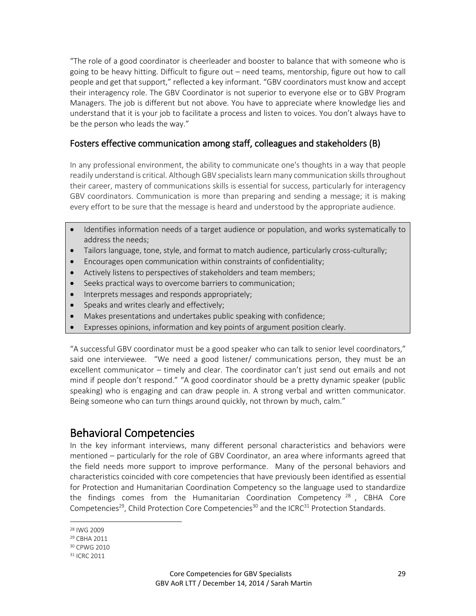"The role of a good coordinator is cheerleader and booster to balance that with someone who is going to be heavy hitting. Difficult to figure out – need teams, mentorship, figure out how to call people and get that support," reflected a key informant. "GBV coordinators must know and accept their interagency role. The GBV Coordinator is not superior to everyone else or to GBV Program Managers. The job is different but not above. You have to appreciate where knowledge lies and understand that it is your job to facilitate a process and listen to voices. You don't always have to be the person who leads the way."

#### Fosters effective communication among staff, colleagues and stakeholders (B)

In any professional environment, the ability to communicate one's thoughts in a way that people readily understand is critical. Although GBV specialists learn many communication skills throughout their career, mastery of communications skills is essential for success, particularly for interagency GBV coordinators. Communication is more than preparing and sending a message; it is making every effort to be sure that the message is heard and understood by the appropriate audience.

- Identifies information needs of a target audience or population, and works systematically to address the needs;
- Tailors language, tone, style, and format to match audience, particularly cross-culturally;
- Encourages open communication within constraints of confidentiality;
- Actively listens to perspectives of stakeholders and team members;
- Seeks practical ways to overcome barriers to communication;
- Interprets messages and responds appropriately;
- Speaks and writes clearly and effectively;
- Makes presentations and undertakes public speaking with confidence;
- Expresses opinions, information and key points of argument position clearly.

"A successful GBV coordinator must be a good speaker who can talk to senior level coordinators," said one interviewee. "We need a good listener/ communications person, they must be an excellent communicator – timely and clear. The coordinator can't just send out emails and not mind if people don't respond." "A good coordinator should be a pretty dynamic speaker (public speaking) who is engaging and can draw people in. A strong verbal and written communicator. Being someone who can turn things around quickly, not thrown by much, calm."

# Behavioral Competencies

In the key informant interviews, many different personal characteristics and behaviors were mentioned – particularly for the role of GBV Coordinator, an area where informants agreed that the field needs more support to improve performance. Many of the personal behaviors and characteristics coincided with core competencies that have previously been identified as essential for Protection and Humanitarian Coordination Competency so the language used to standardize the findings comes from the Humanitarian Coordination Competency  $^{28}$ , CBHA Core Competencies<sup>29</sup>, Child Protection Core Competencies<sup>30</sup> and the ICRC<sup>31</sup> Protection Standards.

 $\overline{a}$ 

<sup>28</sup> IWG 2009

<sup>29</sup> CBHA 2011

<sup>30</sup> CPWG 2010

<sup>31</sup> ICRC 2011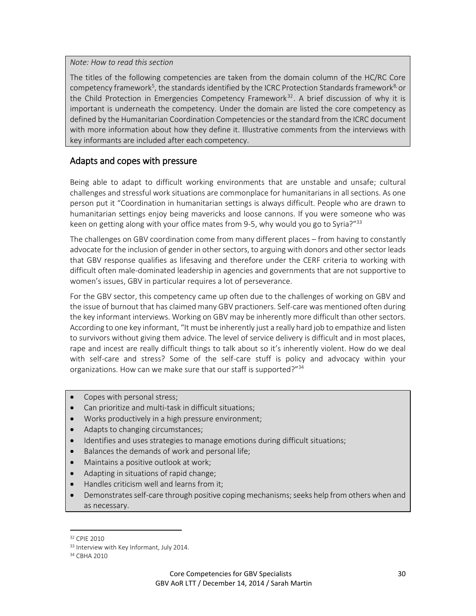*Note: How to read this section*

The titles of the following competencies are taken from the domain column of the HC/RC Core competency framework<sup>5</sup>, the standards identified by the ICRC Protection Standards framework<sup>8,</sup> or the Child Protection in Emergencies Competency Framework<sup>32</sup>. A brief discussion of why it is important is underneath the competency. Under the domain are listed the core competency as defined by the Humanitarian Coordination Competencies or the standard from the ICRC document with more information about how they define it. Illustrative comments from the interviews with key informants are included after each competency.

#### Adapts and copes with pressure

Being able to adapt to difficult working environments that are unstable and unsafe; cultural challenges and stressful work situations are commonplace for humanitarians in all sections. As one person put it "Coordination in humanitarian settings is always difficult. People who are drawn to humanitarian settings enjoy being mavericks and loose cannons. If you were someone who was keen on getting along with your office mates from 9-5, why would you go to Syria?"<sup>33</sup>

The challenges on GBV coordination come from many different places – from having to constantly advocate for the inclusion of gender in other sectors, to arguing with donors and other sector leads that GBV response qualifies as lifesaving and therefore under the CERF criteria to working with difficult often male-dominated leadership in agencies and governments that are not supportive to women's issues, GBV in particular requires a lot of perseverance.

For the GBV sector, this competency came up often due to the challenges of working on GBV and the issue of burnout that has claimed many GBV practioners. Self-care was mentioned often during the key informant interviews. Working on GBV may be inherently more difficult than other sectors. According to one key informant, "It must be inherently just a really hard job to empathize and listen to survivors without giving them advice. The level of service delivery is difficult and in most places, rape and incest are really difficult things to talk about so it's inherently violent. How do we deal with self-care and stress? Some of the self-care stuff is policy and advocacy within your organizations. How can we make sure that our staff is supported?"<sup>34</sup>

- Copes with personal stress;
- Can prioritize and multi-task in difficult situations;
- Works productively in a high pressure environment;
- Adapts to changing circumstances;
- Identifies and uses strategies to manage emotions during difficult situations;
- Balances the demands of work and personal life;
- Maintains a positive outlook at work;
- Adapting in situations of rapid change;
- Handles criticism well and learns from it;
- Demonstrates self-care through positive coping mechanisms; seeks help from others when and as necessary.

l

<sup>32</sup> CPIE 2010

<sup>33</sup> Interview with Key Informant, July 2014.

<sup>34</sup> CBHA 2010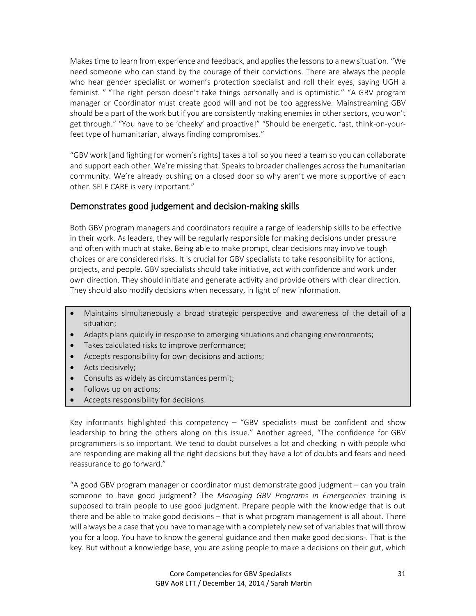Makes time to learn from experience and feedback, and applies the lessons to a new situation. "We need someone who can stand by the courage of their convictions. There are always the people who hear gender specialist or women's protection specialist and roll their eyes, saying UGH a feminist. " "The right person doesn't take things personally and is optimistic." "A GBV program manager or Coordinator must create good will and not be too aggressive. Mainstreaming GBV should be a part of the work but if you are consistently making enemies in other sectors, you won't get through." "You have to be 'cheeky' and proactive!" "Should be energetic, fast, think-on-yourfeet type of humanitarian, always finding compromises."

"GBV work [and fighting for women's rights] takes a toll so you need a team so you can collaborate and support each other. We're missing that. Speaks to broader challenges across the humanitarian community. We're already pushing on a closed door so why aren't we more supportive of each other. SELF CARE is very important."

#### Demonstrates good judgement and decision-making skills

Both GBV program managers and coordinators require a range of leadership skills to be effective in their work. As leaders, they will be regularly responsible for making decisions under pressure and often with much at stake. Being able to make prompt, clear decisions may involve tough choices or are considered risks. It is crucial for GBV specialists to take responsibility for actions, projects, and people. GBV specialists should take initiative, act with confidence and work under own direction. They should initiate and generate activity and provide others with clear direction. They should also modify decisions when necessary, in light of new information.

- Maintains simultaneously a broad strategic perspective and awareness of the detail of a situation;
- Adapts plans quickly in response to emerging situations and changing environments;
- Takes calculated risks to improve performance;
- Accepts responsibility for own decisions and actions;
- Acts decisively;
- Consults as widely as circumstances permit;
- Follows up on actions;
- Accepts responsibility for decisions.

Key informants highlighted this competency – "GBV specialists must be confident and show leadership to bring the others along on this issue." Another agreed, "The confidence for GBV programmers is so important. We tend to doubt ourselves a lot and checking in with people who are responding are making all the right decisions but they have a lot of doubts and fears and need reassurance to go forward."

"A good GBV program manager or coordinator must demonstrate good judgment – can you train someone to have good judgment? The *Managing GBV Programs in Emergencies* training is supposed to train people to use good judgment. Prepare people with the knowledge that is out there and be able to make good decisions – that is what program management is all about. There will always be a case that you have to manage with a completely new set of variables that will throw you for a loop. You have to know the general guidance and then make good decisions-. That is the key. But without a knowledge base, you are asking people to make a decisions on their gut, which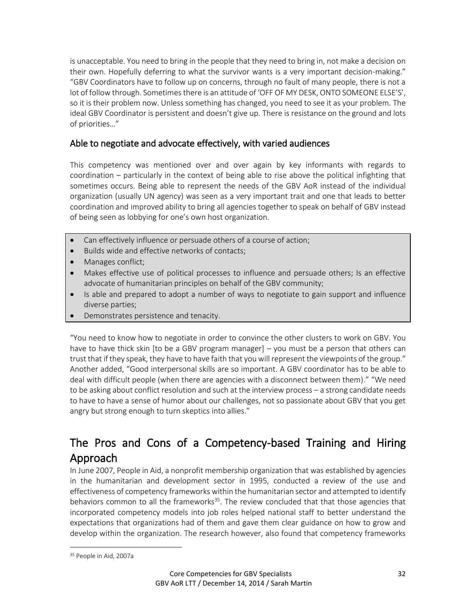is unacceptable. You need to bring in the people that they need to bring in, not make a decision on their own. Hopefully deferring to what the survivor wants is a very important decision-making." "GBV Coordinators have to follow up on concerns, through no fault of many people, there is not a lot of follow through. Sometimes there is an attitude of 'OFF OF MY DESK, ONTO SOMEONE ELSE'S', so it is their problem now. Unless something has changed, you need to see it as your problem. The ideal GBV Coordinator is persistent and doesn't give up. There is resistance on the ground and lots of priorities…"

#### Able to negotiate and advocate effectively, with varied audiences

This competency was mentioned over and over again by key informants with regards to coordination – particularly in the context of being able to rise above the political infighting that sometimes occurs. Being able to represent the needs of the GBV AoR instead of the individual organization (usually UN agency) was seen as a very important trait and one that leads to better coordination and improved ability to bring all agencies together to speak on behalf of GBV instead of being seen as lobbying for one's own host organization.

- Can effectively influence or persuade others of a course of action;
- Builds wide and effective networks of contacts:
- Manages conflict;
- Makes effective use of political processes to influence and persuade others; Is an effective advocate of humanitarian principles on behalf of the GBV community;
- Is able and prepared to adopt a number of ways to negotiate to gain support and influence diverse parties;
- Demonstrates persistence and tenacity.

"You need to know how to negotiate in order to convince the other clusters to work on GBV. You have to have thick skin [to be a GBV program manager] – you must be a person that others can trust that if they speak, they have to have faith that you will represent the viewpoints of the group." Another added, "Good interpersonal skills are so important. A GBV coordinator has to be able to deal with difficult people (when there are agencies with a disconnect between them)." "We need to be asking about conflict resolution and such at the interview process – a strong candidate needs to have to have a sense of humor about our challenges, not so passionate about GBV that you get angry but strong enough to turn skeptics into allies."

# The Pros and Cons of a Competency-based Training and Hiring Approach

In June 2007, People in Aid, a nonprofit membership organization that was established by agencies in the humanitarian and development sector in 1995, conducted a review of the use and effectiveness of competency frameworks within the humanitarian sector and attempted to identify behaviors common to all the frameworks $35$ . The review concluded that that those agencies that incorporated competency models into job roles helped national staff to better understand the expectations that organizations had of them and gave them clear guidance on how to grow and develop within the organization. The research however, also found that competency frameworks

 $\overline{a}$ 

<sup>35</sup> People in Aid, 2007a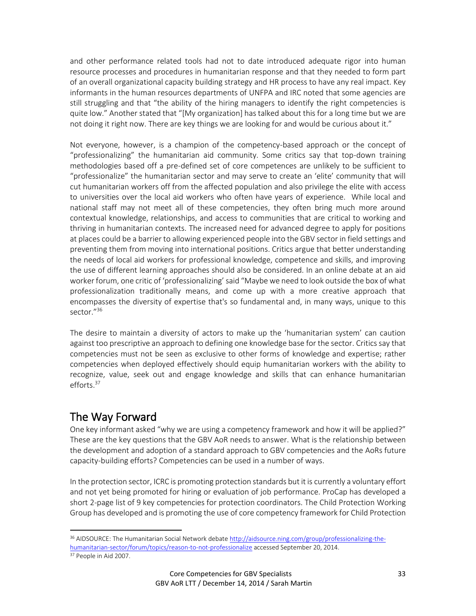and other performance related tools had not to date introduced adequate rigor into human resource processes and procedures in humanitarian response and that they needed to form part of an overall organizational capacity building strategy and HR process to have any real impact. Key informants in the human resources departments of UNFPA and IRC noted that some agencies are still struggling and that "the ability of the hiring managers to identify the right competencies is quite low." Another stated that "[My organization] has talked about this for a long time but we are not doing it right now. There are key things we are looking for and would be curious about it."

Not everyone, however, is a champion of the competency-based approach or the concept of "professionalizing" the humanitarian aid community. Some critics say that top-down training methodologies based off a pre-defined set of core competences are unlikely to be sufficient to "professionalize" the humanitarian sector and may serve to create an 'elite' community that will cut humanitarian workers off from the affected population and also privilege the elite with access to universities over the local aid workers who often have years of experience. While local and national staff may not meet all of these competencies, they often bring much more around contextual knowledge, relationships, and access to communities that are critical to working and thriving in humanitarian contexts. The increased need for advanced degree to apply for positions at places could be a barrier to allowing experienced people into the GBV sector in field settings and preventing them from moving into international positions. Critics argue that better understanding the needs of local aid workers for professional knowledge, competence and skills, and improving the use of different learning approaches should also be considered. In an online debate at an aid worker forum, one critic of 'professionalizing' said "Maybe we need to look outside the box of what professionalization traditionally means, and come up with a more creative approach that encompasses the diversity of expertise that's so fundamental and, in many ways, unique to this sector."<sup>36</sup>

The desire to maintain a diversity of actors to make up the 'humanitarian system' can caution against too prescriptive an approach to defining one knowledge base for the sector. Critics say that competencies must not be seen as exclusive to other forms of knowledge and expertise; rather competencies when deployed effectively should equip humanitarian workers with the ability to recognize, value, seek out and engage knowledge and skills that can enhance humanitarian efforts.<sup>37</sup>

# The Way Forward

One key informant asked "why we are using a competency framework and how it will be applied?" These are the key questions that the GBV AoR needs to answer. What is the relationship between the development and adoption of a standard approach to GBV competencies and the AoRs future capacity-building efforts? Competencies can be used in a number of ways.

In the protection sector, ICRC is promoting protection standards but it is currently a voluntary effort and not yet being promoted for hiring or evaluation of job performance. ProCap has developed a short 2-page list of 9 key competencies for protection coordinators. The Child Protection Working Group has developed and is promoting the use of core competency framework for Child Protection

l

<sup>36</sup> AIDSOURCE: The Humanitarian Social Network debat[e http://aidsource.ning.com/group/professionalizing-the](http://aidsource.ning.com/group/professionalizing-the-humanitarian-sector/forum/topics/reason-to-not-professionalize)[humanitarian-sector/forum/topics/reason-to-not-professionalize](http://aidsource.ning.com/group/professionalizing-the-humanitarian-sector/forum/topics/reason-to-not-professionalize) accessed September 20, 2014.

<sup>&</sup>lt;sup>37</sup> People in Aid 2007.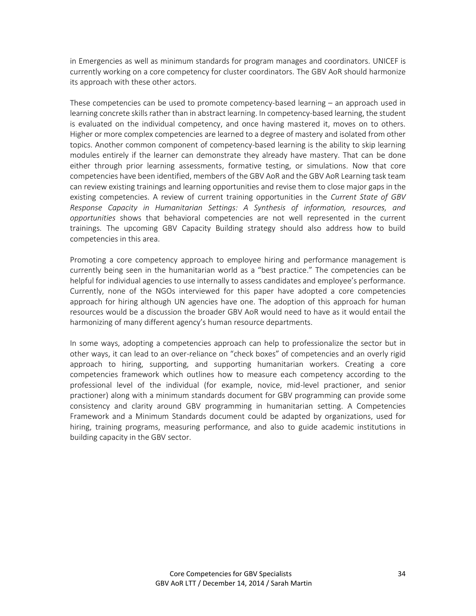in Emergencies as well as minimum standards for program manages and coordinators. UNICEF is currently working on a core competency for cluster coordinators. The GBV AoR should harmonize its approach with these other actors.

These competencies can be used to promote competency-based learning – an approach used in learning concrete skills rather than in abstract learning. In competency-based learning, the student is evaluated on the individual competency, and once having mastered it, moves on to others. Higher or more complex competencies are learned to a degree of mastery and isolated from other topics. Another common component of competency-based learning is the ability to skip learning modules entirely if the learner can demonstrate they already have mastery. That can be done either through prior learning assessments, formative testing, or simulations. Now that core competencies have been identified, members of the GBV AoR and the GBV AoR Learning task team can review existing trainings and learning opportunities and revise them to close major gaps in the existing competencies. A review of current training opportunities in the *Current State of GBV Response Capacity in Humanitarian Settings: A Synthesis of information, resources, and opportunities* shows that behavioral competencies are not well represented in the current trainings. The upcoming GBV Capacity Building strategy should also address how to build competencies in this area.

Promoting a core competency approach to employee hiring and performance management is currently being seen in the humanitarian world as a "best practice." The competencies can be helpful for individual agencies to use internally to assess candidates and employee's performance. Currently, none of the NGOs interviewed for this paper have adopted a core competencies approach for hiring although UN agencies have one. The adoption of this approach for human resources would be a discussion the broader GBV AoR would need to have as it would entail the harmonizing of many different agency's human resource departments.

In some ways, adopting a competencies approach can help to professionalize the sector but in other ways, it can lead to an over-reliance on "check boxes" of competencies and an overly rigid approach to hiring, supporting, and supporting humanitarian workers. Creating a core competencies framework which outlines how to measure each competency according to the professional level of the individual (for example, novice, mid-level practioner, and senior practioner) along with a minimum standards document for GBV programming can provide some consistency and clarity around GBV programming in humanitarian setting. A Competencies Framework and a Minimum Standards document could be adapted by organizations, used for hiring, training programs, measuring performance, and also to guide academic institutions in building capacity in the GBV sector.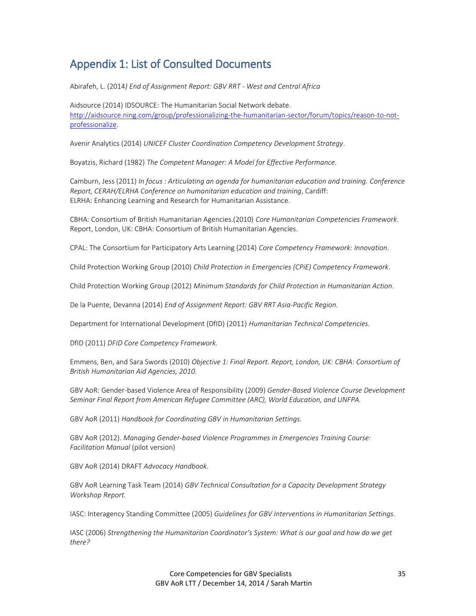# Appendix 1: List of Consulted Documents

Abirafeh, L. (2014*) End of Assignment Report: GBV RRT - West and Central Africa*

Aidsource (2014) IDSOURCE: The Humanitarian Social Network debate. [http://aidsource.ning.com/group/professionalizing-the-humanitarian-sector/forum/topics/reason-to-not](http://aidsource.ning.com/group/professionalizing-the-humanitarian-sector/forum/topics/reason-to-not-professionalize)[professionalize.](http://aidsource.ning.com/group/professionalizing-the-humanitarian-sector/forum/topics/reason-to-not-professionalize)

Avenir Analytics (2014) *UNICEF Cluster Coordination Competency Development Strategy*.

Boyatzis, Richard (1982) *The Competent Manager: A Model for Effective Performance.*

Camburn, Jess (2011) *In focus : Articulating an agenda for humanitarian education and training. Conference Report, CERAH/ELRHA Conference on humanitarian education and training*, Cardiff: ELRHA: Enhancing Learning and Research for Humanitarian Assistance.

CBHA: Consortium of British Humanitarian Agencies.(2010) *Core Humanitarian Competencies Framework*. Report, London, UK: CBHA: Consortium of British Humanitarian Agencies.

CPAL: The Consortium for Participatory Arts Learning (2014) *Core Competency Framework: Innovation.*

Child Protection Working Group (2010) *Child Protection in Emergencies (CPiE) Competency Framework*.

Child Protection Working Group (2012) *Minimum Standards for Child Protection in Humanitarian Action*.

De la Puente, Devanna (2014) *End of Assignment Report: GBV RRT Asia-Pacific Region.*

Department for International Development (DfID) (2011) *Humanitarian Technical Competencies.*

DfID (2011) *DFID Core Competency Framework.*

Emmens, Ben, and Sara Swords (2010) *Objective 1: Final Report. Report, London, UK: CBHA: Consortium of British Humanitarian Aid Agencies, 2010.*

GBV AoR: Gender-based Violence Area of Responsibility (2009) *Gender-Based Violence Course Development Seminar Final Report from American Refugee Committee (ARC), World Education, and UNFPA.*

GBV AoR (2011) *Handbook for Coordinating GBV in Humanitarian Settings.*

GBV AoR (2012). *Managing Gender-based Violence Programmes in Emergencies Training Course: Facilitation Manual* (pilot version)

GBV AoR (2014) DRAFT *Advocacy Handbook.*

GBV AoR Learning Task Team (2014) *GBV Technical Consultation for a Capacity Development Strategy Workshop Report.*

IASC: Interagency Standing Committee (2005) *Guidelines for GBV Interventions in Humanitarian Settings.*

IASC (2006) *Strengthening the Humanitarian Coordinator's System: What is our goal and how do we get there?*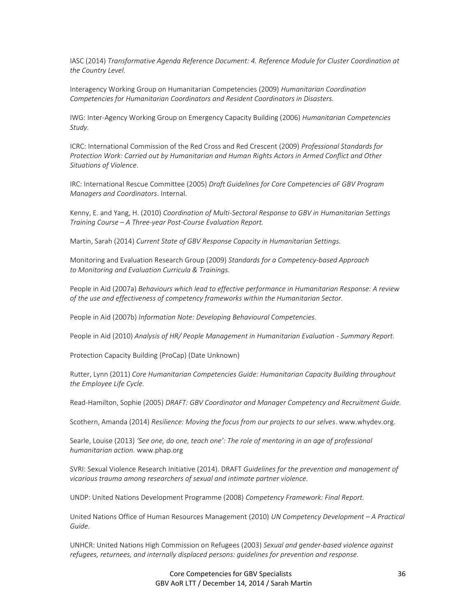IASC (2014) *Transformative Agenda Reference Document: 4. Reference Module for Cluster Coordination at the Country Level.*

Interagency Working Group on Humanitarian Competencies (2009) *Humanitarian Coordination Competencies for Humanitarian Coordinators and Resident Coordinators in Disasters.*

IWG: Inter-Agency Working Group on Emergency Capacity Building (2006) *Humanitarian Competencies Study.*

ICRC: International Commission of the Red Cross and Red Crescent (2009) *Professional Standards for Protection Work: Carried out by Humanitarian and Human Rights Actors in Armed Conflict and Other Situations of Violence*.

IRC: International Rescue Committee (2005) *Draft Guidelines for Core Competencies oF GBV Program Managers and Coordinators*. Internal.

Kenny, E. and Yang, H. (2010) *Coordination of Multi-Sectoral Response to GBV in Humanitarian Settings Training Course – A Three-year Post-Course Evaluation Report.*

Martin, Sarah (2014) *Current State of GBV Response Capacity in Humanitarian Settings.* 

Monitoring and Evaluation Research Group (2009) *Standards for a Competency-based Approach to Monitoring and Evaluation Curricula & Trainings.*

People in Aid (2007a) *Behaviours which lead to effective performance in Humanitarian Response: A review of the use and effectiveness of competency frameworks within the Humanitarian Sector.*

People in Aid (2007b) *Information Note: Developing Behavioural Competencies.* 

People in Aid (2010) *Analysis of HR/ People Management in Humanitarian Evaluation - Summary Report.*

Protection Capacity Building (ProCap) (Date Unknown)

Rutter, Lynn (2011) *Core Humanitarian Competencies Guide: Humanitarian Capacity Building throughout the Employee Life Cycle.*

Read-Hamilton, Sophie (2005) *DRAFT: GBV Coordinator and Manager Competency and Recruitment Guide.*

Scothern, Amanda (2014) *Resilience: Moving the focus from our projects to our selves*. www.whydev.org.

Searle, Louise (2013) *'See one, do one, teach one': The role of mentoring in an age of professional humanitarian action.* [www.phap.org](http://www.phap.org/)

SVRI: Sexual Violence Research Initiative (2014). DRAFT *Guidelines for the prevention and management of vicarious trauma among researchers of sexual and intimate partner violence.*

UNDP: United Nations Development Programme (2008) *Competency Framework: Final Report.*

United Nations Office of Human Resources Management (2010) *UN Competency Development – A Practical Guide.*

UNHCR: United Nations High Commission on Refugees (2003) *Sexual and gender-based violence against refugees, returnees, and internally displaced persons: guidelines for prevention and response.*

> Core Competencies for GBV Specialists GBV AoR LTT / December 14, 2014 / Sarah Martin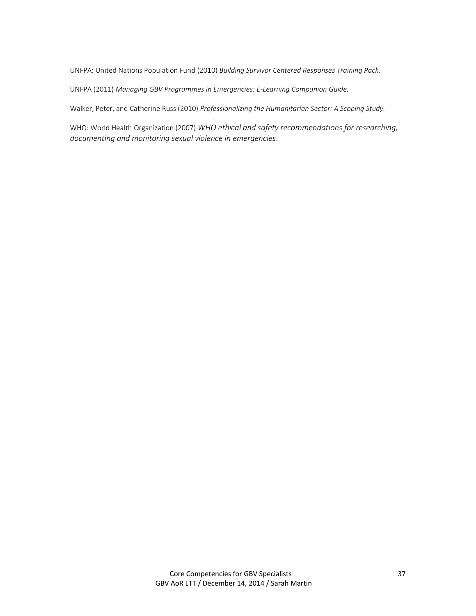UNFPA: United Nations Population Fund (2010) *Building Survivor Centered Responses Training Pack.*

UNFPA (2011) *Managing GBV Programmes in Emergencies: E-Learning Companion Guide.* 

Walker, Peter, and Catherine Russ (2010) *Professionalizing the Humanitarian Sector: A Scoping Study.*

WHO: World Health Organization (2007) *WHO ethical and safety recommendations for researching, documenting and monitoring sexual violence in emergencies*.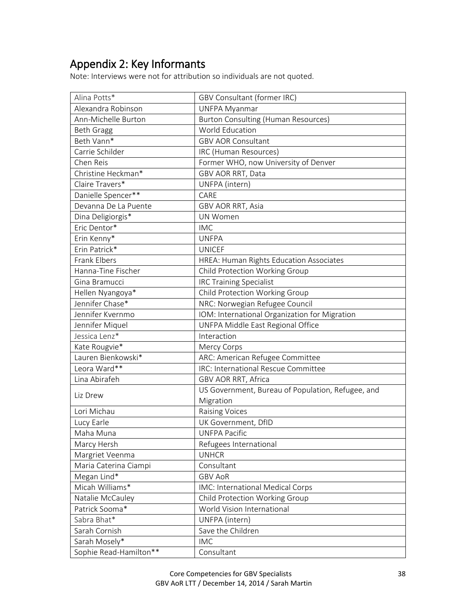# Appendix 2: Key Informants

Note: Interviews were not for attribution so individuals are not quoted.

| Alina Potts*           | <b>GBV Consultant (former IRC)</b>                |
|------------------------|---------------------------------------------------|
| Alexandra Robinson     | <b>UNFPA Myanmar</b>                              |
| Ann-Michelle Burton    | <b>Burton Consulting (Human Resources)</b>        |
| <b>Beth Gragg</b>      | <b>World Education</b>                            |
| Beth Vann*             | <b>GBV AOR Consultant</b>                         |
| Carrie Schilder        | IRC (Human Resources)                             |
| Chen Reis              | Former WHO, now University of Denver              |
| Christine Heckman*     | GBV AOR RRT, Data                                 |
| Claire Travers*        | UNFPA (intern)                                    |
| Danielle Spencer**     | CARE                                              |
| Devanna De La Puente   | GBV AOR RRT, Asia                                 |
| Dina Deligiorgis*      | <b>UN Women</b>                                   |
| Eric Dentor*           | <b>IMC</b>                                        |
| Erin Kenny*            | <b>UNFPA</b>                                      |
| Erin Patrick*          | <b>UNICEF</b>                                     |
| Frank Elbers           | HREA: Human Rights Education Associates           |
| Hanna-Tine Fischer     | Child Protection Working Group                    |
| Gina Bramucci          | <b>IRC Training Specialist</b>                    |
| Hellen Nyangoya*       | Child Protection Working Group                    |
| Jennifer Chase*        | NRC: Norwegian Refugee Council                    |
| Jennifer Kvernmo       | IOM: International Organization for Migration     |
| Jennifer Miquel        | UNFPA Middle East Regional Office                 |
| Jessica Lenz*          | Interaction                                       |
| Kate Rougvie*          | Mercy Corps                                       |
| Lauren Bienkowski*     | ARC: American Refugee Committee                   |
| Leora Ward**           | IRC: International Rescue Committee               |
| Lina Abirafeh          | GBV AOR RRT, Africa                               |
| Liz Drew               | US Government, Bureau of Population, Refugee, and |
|                        | Migration                                         |
| Lori Michau            | <b>Raising Voices</b>                             |
| Lucy Earle             | UK Government, DfID                               |
| Maha Muna              | <b>UNFPA Pacific</b>                              |
| Marcy Hersh            | Refugees International                            |
| Margriet Veenma        | <b>UNHCR</b>                                      |
| Maria Caterina Ciampi  | Consultant                                        |
| Megan Lind*            | <b>GBV AoR</b>                                    |
| Micah Williams*        | IMC: International Medical Corps                  |
| Natalie McCauley       | Child Protection Working Group                    |
| Patrick Sooma*         | World Vision International                        |
| Sabra Bhat*            | UNFPA (intern)                                    |
| Sarah Cornish          | Save the Children                                 |
| Sarah Mosely*          | <b>IMC</b>                                        |
| Sophie Read-Hamilton** | Consultant                                        |